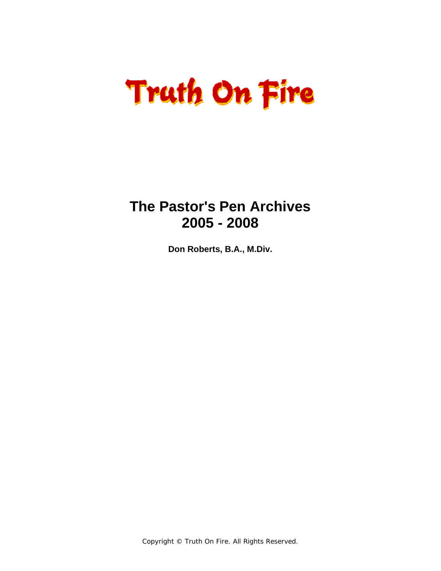# **Truth On Fire**

### **The Pastor's Pen Archives 2005 - 2008**

**Don Roberts, B.A., M.Div.**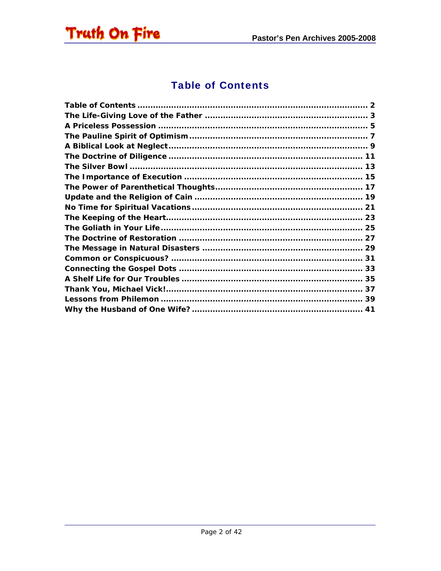<span id="page-1-0"></span>

#### **Table of Contents**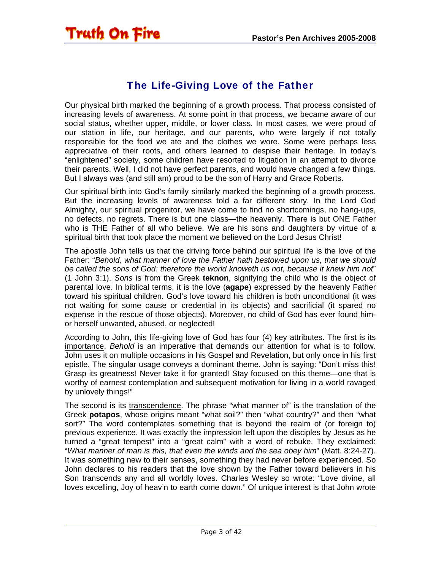#### The Life-Giving Love of the Father

<span id="page-2-0"></span>Our physical birth marked the beginning of a growth process. That process consisted of increasing levels of awareness. At some point in that process, we became aware of our social status, whether upper, middle, or lower class. In most cases, we were proud of our station in life, our heritage, and our parents, who were largely if not totally responsible for the food we ate and the clothes we wore. Some were perhaps less appreciative of their roots, and others learned to despise their heritage. In today's "enlightened" society, some children have resorted to litigation in an attempt to divorce their parents. Well, I did not have perfect parents, and would have changed a few things. But I always was (and still am) proud to be the son of Harry and Grace Roberts.

Our spiritual birth into God's family similarly marked the beginning of a growth process. But the increasing levels of awareness told a far different story. In the Lord God Almighty, our spiritual progenitor, we have come to find no shortcomings, no hang-ups, no defects, no regrets. There is but one class—the heavenly. There is but ONE Father who is THE Father of all who believe. We are his sons and daughters by virtue of a spiritual birth that took place the moment we believed on the Lord Jesus Christ!

The apostle John tells us that the driving force behind our spiritual life is the love of the Father: "*Behold, what manner of love the Father hath bestowed upon us, that we should be called the sons of God: therefore the world knoweth us not, because it knew him not*" (1 John 3:1). *Sons* is from the Greek **teknon**, signifying the child who is the object of parental love. In biblical terms, it is the love (**agape**) expressed by the heavenly Father toward his spiritual children. God's love toward his children is both unconditional (it was not waiting for some cause or credential in its objects) and sacrificial (it spared no expense in the rescue of those objects). Moreover, no child of God has ever found himor herself unwanted, abused, or neglected!

According to John, this life-giving love of God has four (4) key attributes. The first is its importance. *Behold* is an imperative that demands our attention for what is to follow. John uses it on multiple occasions in his Gospel and Revelation, but only once in his first epistle. The singular usage conveys a dominant theme. John is saying: "Don't miss this! Grasp its greatness! Never take it for granted! Stay focused on this theme—one that is worthy of earnest contemplation and subsequent motivation for living in a world ravaged by unlovely things!"

The second is its transcendence. The phrase "what manner of" is the translation of the Greek **potapos**, whose origins meant "what soil?" then "what country?" and then "what sort?" The word contemplates something that is beyond the realm of (or foreign to) previous experience. It was exactly the impression left upon the disciples by Jesus as he turned a "great tempest" into a "great calm" with a word of rebuke. They exclaimed: "*What manner of man is this, that even the winds and the sea obey him*" (Matt. 8:24-27). It was something new to their senses, something they had never before experienced. So John declares to his readers that the love shown by the Father toward believers in his Son transcends any and all worldly loves. Charles Wesley so wrote: "Love divine, all loves excelling, Joy of heav'n to earth come down." Of unique interest is that John wrote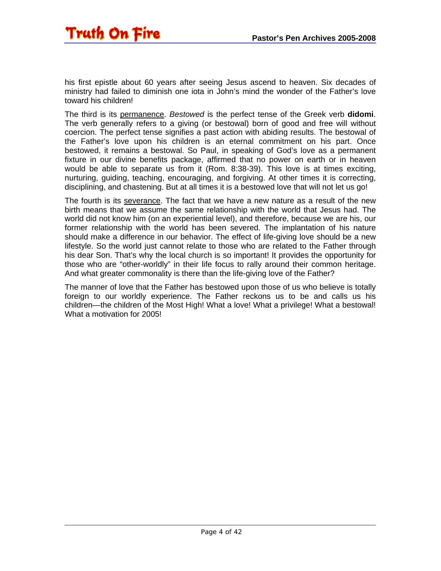his first epistle about 60 years after seeing Jesus ascend to heaven. Six decades of ministry had failed to diminish one iota in John's mind the wonder of the Father's love toward his children!

The third is its permanence. *Bestowed* is the perfect tense of the Greek verb **didomi**. The verb generally refers to a giving (or bestowal) born of good and free will without coercion. The perfect tense signifies a past action with abiding results. The bestowal of the Father's love upon his children is an eternal commitment on his part. Once bestowed, it remains a bestowal. So Paul, in speaking of God's love as a permanent fixture in our divine benefits package, affirmed that no power on earth or in heaven would be able to separate us from it (Rom. 8:38-39). This love is at times exciting, nurturing, guiding, teaching, encouraging, and forgiving. At other times it is correcting, disciplining, and chastening. But at all times it is a bestowed love that will not let us go!

The fourth is its severance. The fact that we have a new nature as a result of the new birth means that we assume the same relationship with the world that Jesus had. The world did not know him (on an experiential level), and therefore, because we are his, our former relationship with the world has been severed. The implantation of his nature should make a difference in our behavior. The effect of life-giving love should be a new lifestyle. So the world just cannot relate to those who are related to the Father through his dear Son. That's why the local church is so important! It provides the opportunity for those who are "other-worldly" in their life focus to rally around their common heritage. And what greater commonality is there than the life-giving love of the Father?

The manner of love that the Father has bestowed upon those of us who believe is totally foreign to our worldly experience. The Father reckons us to be and calls us his children—the children of the Most High! What a love! What a privilege! What a bestowal! What a motivation for 2005!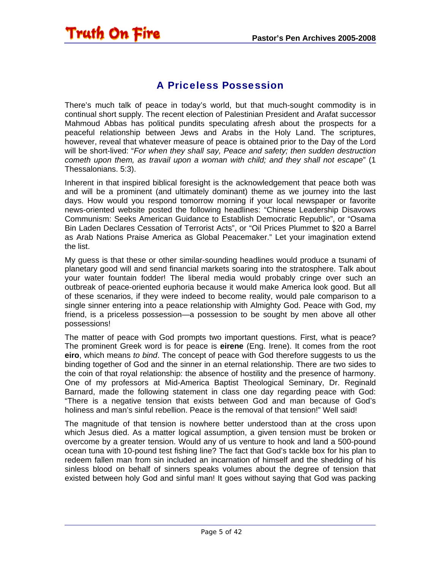

<span id="page-4-0"></span>**Truth On Fire** 

There's much talk of peace in today's world, but that much-sought commodity is in continual short supply. The recent election of Palestinian President and Arafat successor Mahmoud Abbas has political pundits speculating afresh about the prospects for a peaceful relationship between Jews and Arabs in the Holy Land. The scriptures, however, reveal that whatever measure of peace is obtained prior to the Day of the Lord will be short-lived: "*For when they shall say, Peace and safety; then sudden destruction cometh upon them, as travail upon a woman with child; and they shall not escape*" (1 Thessalonians. 5:3).

Inherent in that inspired biblical foresight is the acknowledgement that peace both was and will be a prominent (and ultimately dominant) theme as we journey into the last days. How would you respond tomorrow morning if your local newspaper or favorite news-oriented website posted the following headlines: "Chinese Leadership Disavows Communism: Seeks American Guidance to Establish Democratic Republic", or "Osama Bin Laden Declares Cessation of Terrorist Acts", or "Oil Prices Plummet to \$20 a Barrel as Arab Nations Praise America as Global Peacemaker." Let your imagination extend the list.

My guess is that these or other similar-sounding headlines would produce a tsunami of planetary good will and send financial markets soaring into the stratosphere. Talk about your water fountain fodder! The liberal media would probably cringe over such an outbreak of peace-oriented euphoria because it would make America look good. But all of these scenarios, if they were indeed to become reality, would pale comparison to a single sinner entering into a peace relationship with Almighty God. Peace with God, my friend, is a priceless possession—a possession to be sought by men above all other possessions!

The matter of peace with God prompts two important questions. First, what is peace? The prominent Greek word is for peace is **eirene** (Eng. Irene). It comes from the root **eiro**, which means *to bind*. The concept of peace with God therefore suggests to us the binding together of God and the sinner in an eternal relationship. There are two sides to the coin of that royal relationship: the absence of hostility and the presence of harmony. One of my professors at Mid-America Baptist Theological Seminary, Dr. Reginald Barnard, made the following statement in class one day regarding peace with God: "There is a negative tension that exists between God and man because of God's holiness and man's sinful rebellion. Peace is the removal of that tension!" Well said!

The magnitude of that tension is nowhere better understood than at the cross upon which Jesus died. As a matter logical assumption, a given tension must be broken or overcome by a greater tension. Would any of us venture to hook and land a 500-pound ocean tuna with 10-pound test fishing line? The fact that God's tackle box for his plan to redeem fallen man from sin included an incarnation of himself and the shedding of his sinless blood on behalf of sinners speaks volumes about the degree of tension that existed between holy God and sinful man! It goes without saying that God was packing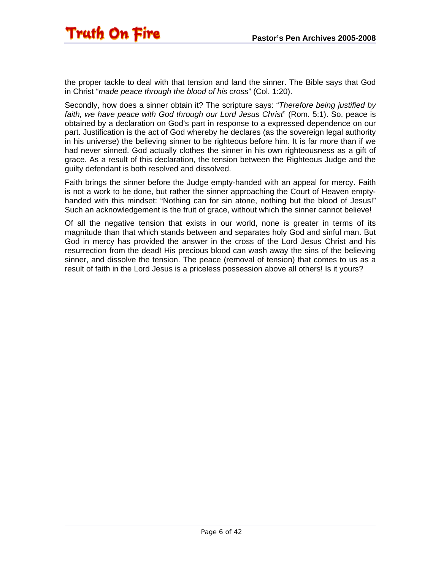the proper tackle to deal with that tension and land the sinner. The Bible says that God in Christ "*made peace through the blood of his cross*" (Col. 1:20).

Secondly, how does a sinner obtain it? The scripture says: "*Therefore being justified by faith, we have peace with God through our Lord Jesus Christ*" (Rom. 5:1). So, peace is obtained by a declaration on God's part in response to a expressed dependence on our part. Justification is the act of God whereby he declares (as the sovereign legal authority in his universe) the believing sinner to be righteous before him. It is far more than if we had never sinned. God actually clothes the sinner in his own righteousness as a gift of grace. As a result of this declaration, the tension between the Righteous Judge and the guilty defendant is both resolved and dissolved.

Faith brings the sinner before the Judge empty-handed with an appeal for mercy. Faith is not a work to be done, but rather the sinner approaching the Court of Heaven emptyhanded with this mindset: "Nothing can for sin atone, nothing but the blood of Jesus!" Such an acknowledgement is the fruit of grace, without which the sinner cannot believe!

Of all the negative tension that exists in our world, none is greater in terms of its magnitude than that which stands between and separates holy God and sinful man. But God in mercy has provided the answer in the cross of the Lord Jesus Christ and his resurrection from the dead! His precious blood can wash away the sins of the believing sinner, and dissolve the tension. The peace (removal of tension) that comes to us as a result of faith in the Lord Jesus is a priceless possession above all others! Is it yours?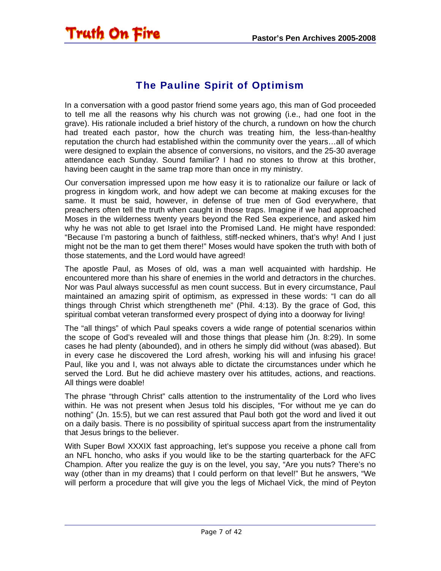<span id="page-6-0"></span>

#### The Pauline Spirit of Optimism

In a conversation with a good pastor friend some years ago, this man of God proceeded to tell me all the reasons why his church was not growing (i.e., had one foot in the grave). His rationale included a brief history of the church, a rundown on how the church had treated each pastor, how the church was treating him, the less-than-healthy reputation the church had established within the community over the years…all of which were designed to explain the absence of conversions, no visitors, and the 25-30 average attendance each Sunday. Sound familiar? I had no stones to throw at this brother, having been caught in the same trap more than once in my ministry.

Our conversation impressed upon me how easy it is to rationalize our failure or lack of progress in kingdom work, and how adept we can become at making excuses for the same. It must be said, however, in defense of true men of God everywhere, that preachers often tell the truth when caught in those traps. Imagine if we had approached Moses in the wilderness twenty years beyond the Red Sea experience, and asked him why he was not able to get Israel into the Promised Land. He might have responded: "Because I'm pastoring a bunch of faithless, stiff-necked whiners, that's why! And I just might not be the man to get them there!" Moses would have spoken the truth with both of those statements, and the Lord would have agreed!

The apostle Paul, as Moses of old, was a man well acquainted with hardship. He encountered more than his share of enemies in the world and detractors in the churches. Nor was Paul always successful as men count success. But in every circumstance, Paul maintained an amazing spirit of optimism, as expressed in these words: "I can do all things through Christ which strengtheneth me" (Phil. 4:13). By the grace of God, this spiritual combat veteran transformed every prospect of dying into a doorway for living!

The "all things" of which Paul speaks covers a wide range of potential scenarios within the scope of God's revealed will and those things that please him (Jn. 8:29). In some cases he had plenty (abounded), and in others he simply did without (was abased). But in every case he discovered the Lord afresh, working his will and infusing his grace! Paul, like you and I, was not always able to dictate the circumstances under which he served the Lord. But he did achieve mastery over his attitudes, actions, and reactions. All things were doable!

The phrase "through Christ" calls attention to the instrumentality of the Lord who lives within. He was not present when Jesus told his disciples, "For without me ye can do nothing" (Jn. 15:5), but we can rest assured that Paul both got the word and lived it out on a daily basis. There is no possibility of spiritual success apart from the instrumentality that Jesus brings to the believer.

With Super Bowl XXXIX fast approaching, let's suppose you receive a phone call from an NFL honcho, who asks if you would like to be the starting quarterback for the AFC Champion. After you realize the guy is on the level, you say, "Are you nuts? There's no way (other than in my dreams) that I could perform on that level!" But he answers, "We will perform a procedure that will give you the legs of Michael Vick, the mind of Peyton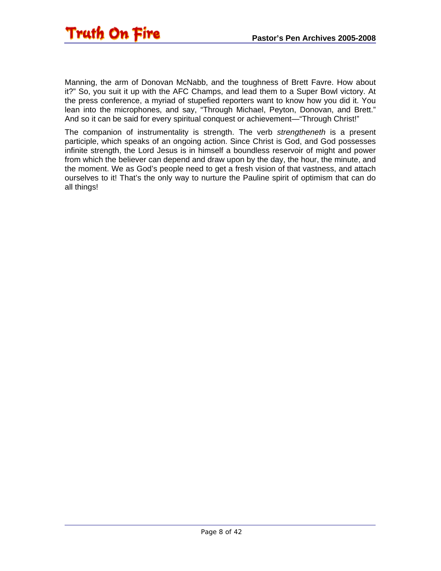

Manning, the arm of Donovan McNabb, and the toughness of Brett Favre. How about it?" So, you suit it up with the AFC Champs, and lead them to a Super Bowl victory. At the press conference, a myriad of stupefied reporters want to know how you did it. You lean into the microphones, and say, "Through Michael, Peyton, Donovan, and Brett." And so it can be said for every spiritual conquest or achievement—"Through Christ!"

The companion of instrumentality is strength. The verb *strengtheneth* is a present participle, which speaks of an ongoing action. Since Christ is God, and God possesses infinite strength, the Lord Jesus is in himself a boundless reservoir of might and power from which the believer can depend and draw upon by the day, the hour, the minute, and the moment. We as God's people need to get a fresh vision of that vastness, and attach ourselves to it! That's the only way to nurture the Pauline spirit of optimism that can do all things!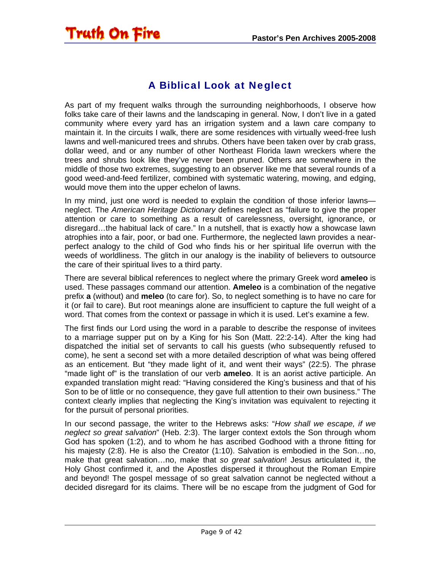### <span id="page-8-0"></span>**Truth On Fire**

#### A Biblical Look at Neglect

As part of my frequent walks through the surrounding neighborhoods, I observe how folks take care of their lawns and the landscaping in general. Now, I don't live in a gated community where every yard has an irrigation system and a lawn care company to maintain it. In the circuits I walk, there are some residences with virtually weed-free lush lawns and well-manicured trees and shrubs. Others have been taken over by crab grass, dollar weed, and or any number of other Northeast Florida lawn wreckers where the trees and shrubs look like they've never been pruned. Others are somewhere in the middle of those two extremes, suggesting to an observer like me that several rounds of a good weed-and-feed fertilizer, combined with systematic watering, mowing, and edging, would move them into the upper echelon of lawns.

In my mind, just one word is needed to explain the condition of those inferior lawns neglect. The *American Heritage Dictionary* defines neglect as "failure to give the proper attention or care to something as a result of carelessness, oversight, ignorance, or disregard…the habitual lack of care." In a nutshell, that is exactly how a showcase lawn atrophies into a fair, poor, or bad one. Furthermore, the neglected lawn provides a nearperfect analogy to the child of God who finds his or her spiritual life overrun with the weeds of worldliness. The glitch in our analogy is the inability of believers to outsource the care of their spiritual lives to a third party.

There are several biblical references to neglect where the primary Greek word **ameleo** is used. These passages command our attention. **Ameleo** is a combination of the negative prefix **a** (without) and **meleo** (to care for). So, to neglect something is to have no care for it (or fail to care). But root meanings alone are insufficient to capture the full weight of a word. That comes from the context or passage in which it is used. Let's examine a few.

The first finds our Lord using the word in a parable to describe the response of invitees to a marriage supper put on by a King for his Son (Matt. 22:2-14). After the king had dispatched the initial set of servants to call his guests (who subsequently refused to come), he sent a second set with a more detailed description of what was being offered as an enticement. But "they made light of it, and went their ways" (22:5). The phrase "made light of" is the translation of our verb **ameleo**. It is an aorist active participle. An expanded translation might read: "Having considered the King's business and that of his Son to be of little or no consequence, they gave full attention to their own business." The context clearly implies that neglecting the King's invitation was equivalent to rejecting it for the pursuit of personal priorities.

In our second passage, the writer to the Hebrews asks: "*How shall we escape, if we neglect so great salvation*" (Heb. 2:3). The larger context extols the Son through whom God has spoken (1:2), and to whom he has ascribed Godhood with a throne fitting for his majesty (2:8). He is also the Creator (1:10). Salvation is embodied in the Son…no, make that great salvation…no, make that *so great salvation*! Jesus articulated it, the Holy Ghost confirmed it, and the Apostles dispersed it throughout the Roman Empire and beyond! The gospel message of so great salvation cannot be neglected without a decided disregard for its claims. There will be no escape from the judgment of God for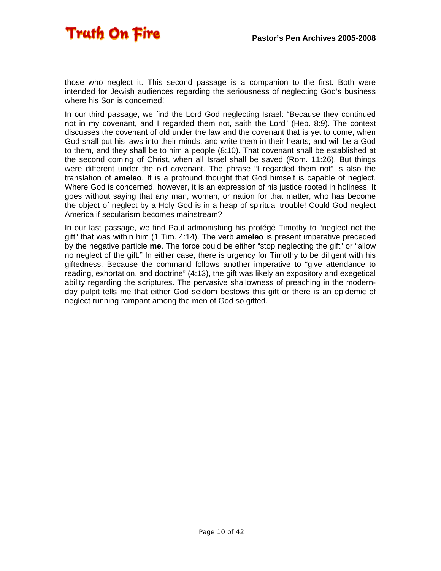

those who neglect it. This second passage is a companion to the first. Both were intended for Jewish audiences regarding the seriousness of neglecting God's business where his Son is concerned!

In our third passage, we find the Lord God neglecting Israel: "Because they continued not in my covenant, and I regarded them not, saith the Lord" (Heb. 8:9). The context discusses the covenant of old under the law and the covenant that is yet to come, when God shall put his laws into their minds, and write them in their hearts; and will be a God to them, and they shall be to him a people (8:10). That covenant shall be established at the second coming of Christ, when all Israel shall be saved (Rom. 11:26). But things were different under the old covenant. The phrase "I regarded them not" is also the translation of **ameleo**. It is a profound thought that God himself is capable of neglect. Where God is concerned, however, it is an expression of his justice rooted in holiness. It goes without saying that any man, woman, or nation for that matter, who has become the object of neglect by a Holy God is in a heap of spiritual trouble! Could God neglect America if secularism becomes mainstream?

In our last passage, we find Paul admonishing his protégé Timothy to "neglect not the gift" that was within him (1 Tim. 4:14). The verb **ameleo** is present imperative preceded by the negative particle **me**. The force could be either "stop neglecting the gift" or "allow no neglect of the gift." In either case, there is urgency for Timothy to be diligent with his giftedness. Because the command follows another imperative to "give attendance to reading, exhortation, and doctrine" (4:13), the gift was likely an expository and exegetical ability regarding the scriptures. The pervasive shallowness of preaching in the modernday pulpit tells me that either God seldom bestows this gift or there is an epidemic of neglect running rampant among the men of God so gifted.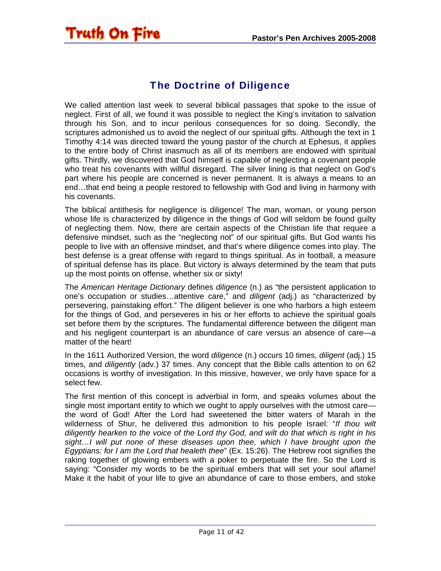#### The Doctrine of Diligence

<span id="page-10-0"></span>Truth On Fire

We called attention last week to several biblical passages that spoke to the issue of neglect. First of all, we found it was possible to neglect the King's invitation to salvation through his Son, and to incur perilous consequences for so doing. Secondly, the scriptures admonished us to avoid the neglect of our spiritual gifts. Although the text in 1 Timothy 4:14 was directed toward the young pastor of the church at Ephesus, it applies to the entire body of Christ inasmuch as all of its members are endowed with spiritual gifts. Thirdly, we discovered that God himself is capable of neglecting a covenant people who treat his covenants with willful disregard. The silver lining is that neglect on God's part where his people are concerned is never permanent. It is always a means to an end…that end being a people restored to fellowship with God and living in harmony with his covenants.

The biblical antithesis for negligence is diligence! The man, woman, or young person whose life is characterized by diligence in the things of God will seldom be found guilty of neglecting them. Now, there are certain aspects of the Christian life that require a defensive mindset, such as the "neglecting not" of our spiritual gifts. But God wants his people to live with an offensive mindset, and that's where diligence comes into play. The best defense is a great offense with regard to things spiritual. As in football, a measure of spiritual defense has its place. But victory is always determined by the team that puts up the most points on offense, whether six or sixty!

The *American Heritage Dictionary* defines *diligence* (n.) as "the persistent application to one's occupation or studies…attentive care," and *diligent* (adj.) as "characterized by persevering, painstaking effort." The diligent believer is one who harbors a high esteem for the things of God, and perseveres in his or her efforts to achieve the spiritual goals set before them by the scriptures. The fundamental difference between the diligent man and his negligent counterpart is an abundance of care versus an absence of care—a matter of the heart!

In the 1611 Authorized Version, the word *diligence* (n.) occurs 10 times, *diligent* (adj.) 15 times, and *diligently* (adv.) 37 times. Any concept that the Bible calls attention to on 62 occasions is worthy of investigation. In this missive, however, we only have space for a select few.

The first mention of this concept is adverbial in form, and speaks volumes about the single most important entity to which we ought to apply ourselves with the utmost care the word of God! After the Lord had sweetened the bitter waters of Marah in the wilderness of Shur, he delivered this admonition to his people Israel: "*If thou wilt diligently hearken to the voice of the Lord thy God, and wilt do that which is right in his*  sight...I will put none of these diseases upon thee, which I have brought upon the *Egyptians: for I am the Lord that healeth thee*" (Ex. 15:26). The Hebrew root signifies the raking together of glowing embers with a poker to perpetuate the fire. So the Lord is saying: "Consider my words to be the spiritual embers that will set your soul aflame! Make it the habit of your life to give an abundance of care to those embers, and stoke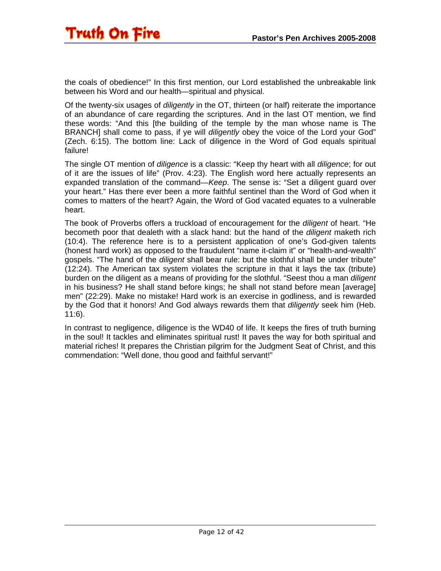the coals of obedience!" In this first mention, our Lord established the unbreakable link between his Word and our health—spiritual and physical.

Of the twenty-six usages of *diligently* in the OT, thirteen (or half) reiterate the importance of an abundance of care regarding the scriptures. And in the last OT mention, we find these words: "And this [the building of the temple by the man whose name is The BRANCH] shall come to pass, if ye will *diligently* obey the voice of the Lord your God" (Zech. 6:15). The bottom line: Lack of diligence in the Word of God equals spiritual failure!

The single OT mention of *diligence* is a classic: "Keep thy heart with all *diligence*; for out of it are the issues of life" (Prov. 4:23). The English word here actually represents an expanded translation of the command—*Keep*. The sense is: "Set a diligent guard over your heart." Has there ever been a more faithful sentinel than the Word of God when it comes to matters of the heart? Again, the Word of God vacated equates to a vulnerable heart.

The book of Proverbs offers a truckload of encouragement for the *diligent* of heart. "He becometh poor that dealeth with a slack hand: but the hand of the *diligent* maketh rich (10:4). The reference here is to a persistent application of one's God-given talents (honest hard work) as opposed to the fraudulent "name it-claim it" or "health-and-wealth" gospels. "The hand of the *diligent* shall bear rule: but the slothful shall be under tribute" (12:24). The American tax system violates the scripture in that it lays the tax (tribute) burden on the diligent as a means of providing for the slothful. "Seest thou a man *diligent* in his business? He shall stand before kings; he shall not stand before mean [average] men" (22:29). Make no mistake! Hard work is an exercise in godliness, and is rewarded by the God that it honors! And God always rewards them that *diligently* seek him (Heb. 11:6).

In contrast to negligence, diligence is the WD40 of life. It keeps the fires of truth burning in the soul! It tackles and eliminates spiritual rust! It paves the way for both spiritual and material riches! It prepares the Christian pilgrim for the Judgment Seat of Christ, and this commendation: "Well done, thou good and faithful servant!"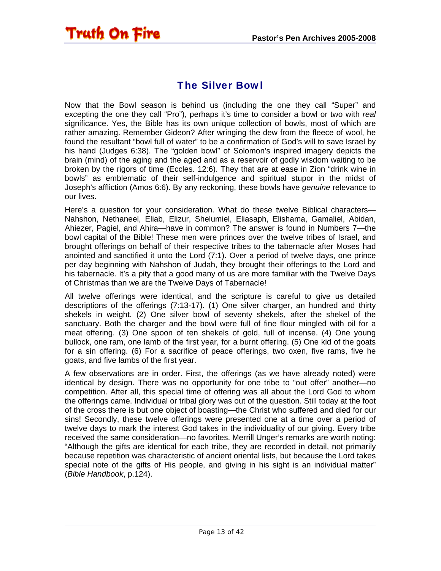<span id="page-12-0"></span>

#### The Silver Bowl

Now that the Bowl season is behind us (including the one they call "Super" and excepting the one they call "Pro"), perhaps it's time to consider a bowl or two with *real* significance. Yes, the Bible has its own unique collection of bowls, most of which are rather amazing. Remember Gideon? After wringing the dew from the fleece of wool, he found the resultant "bowl full of water" to be a confirmation of God's will to save Israel by his hand (Judges 6:38). The "golden bowl" of Solomon's inspired imagery depicts the brain (mind) of the aging and the aged and as a reservoir of godly wisdom waiting to be broken by the rigors of time (Eccles. 12:6). They that are at ease in Zion "drink wine in bowls" as emblematic of their self-indulgence and spiritual stupor in the midst of Joseph's affliction (Amos 6:6). By any reckoning, these bowls have *genuine* relevance to our lives.

Here's a question for your consideration. What do these twelve Biblical characters— Nahshon, Nethaneel, Eliab, Elizur, Shelumiel, Eliasaph, Elishama, Gamaliel, Abidan, Ahiezer, Pagiel, and Ahira—have in common? The answer is found in Numbers 7—the bowl capital of the Bible! These men were princes over the twelve tribes of Israel, and brought offerings on behalf of their respective tribes to the tabernacle after Moses had anointed and sanctified it unto the Lord (7:1). Over a period of twelve days, one prince per day beginning with Nahshon of Judah, they brought their offerings to the Lord and his tabernacle. It's a pity that a good many of us are more familiar with the Twelve Days of Christmas than we are the Twelve Days of Tabernacle!

All twelve offerings were identical, and the scripture is careful to give us detailed descriptions of the offerings (7:13-17). (1) One silver charger, an hundred and thirty shekels in weight. (2) One silver bowl of seventy shekels, after the shekel of the sanctuary. Both the charger and the bowl were full of fine flour mingled with oil for a meat offering. (3) One spoon of ten shekels of gold, full of incense. (4) One young bullock, one ram, one lamb of the first year, for a burnt offering. (5) One kid of the goats for a sin offering. (6) For a sacrifice of peace offerings, two oxen, five rams, five he goats, and five lambs of the first year.

A few observations are in order. First, the offerings (as we have already noted) were identical by design. There was no opportunity for one tribe to "out offer" another—no competition. After all, this special time of offering was all about the Lord God to whom the offerings came. Individual or tribal glory was out of the question. Still today at the foot of the cross there is but one object of boasting—the Christ who suffered and died for our sins! Secondly, these twelve offerings were presented one at a time over a period of twelve days to mark the interest God takes in the individuality of our giving. Every tribe received the same consideration—no favorites. Merrill Unger's remarks are worth noting: "Although the gifts are identical for each tribe, they are recorded in detail, not primarily because repetition was characteristic of ancient oriental lists, but because the Lord takes special note of the gifts of His people, and giving in his sight is an individual matter" (*Bible Handbook*, p.124).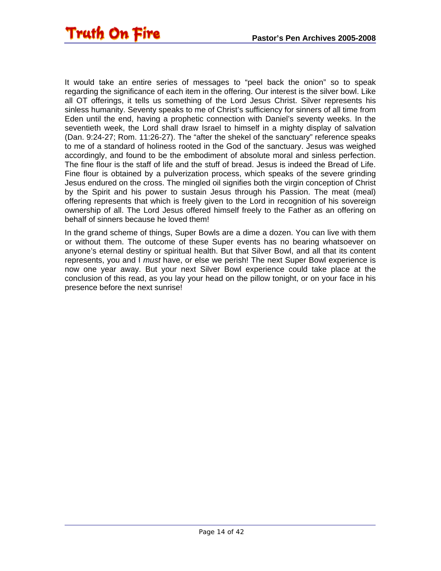It would take an entire series of messages to "peel back the onion" so to speak regarding the significance of each item in the offering. Our interest is the silver bowl. Like all OT offerings, it tells us something of the Lord Jesus Christ. Silver represents his sinless humanity. Seventy speaks to me of Christ's sufficiency for sinners of all time from Eden until the end, having a prophetic connection with Daniel's seventy weeks. In the seventieth week, the Lord shall draw Israel to himself in a mighty display of salvation (Dan. 9:24-27; Rom. 11:26-27). The "after the shekel of the sanctuary" reference speaks to me of a standard of holiness rooted in the God of the sanctuary. Jesus was weighed accordingly, and found to be the embodiment of absolute moral and sinless perfection. The fine flour is the staff of life and the stuff of bread. Jesus is indeed the Bread of Life. Fine flour is obtained by a pulverization process, which speaks of the severe grinding Jesus endured on the cross. The mingled oil signifies both the virgin conception of Christ by the Spirit and his power to sustain Jesus through his Passion. The meat (meal) offering represents that which is freely given to the Lord in recognition of his sovereign ownership of all. The Lord Jesus offered himself freely to the Father as an offering on behalf of sinners because he loved them!

In the grand scheme of things, Super Bowls are a dime a dozen. You can live with them or without them. The outcome of these Super events has no bearing whatsoever on anyone's eternal destiny or spiritual health. But that Silver Bowl, and all that its content represents, you and I *must* have, or else we perish! The next Super Bowl experience is now one year away. But your next Silver Bowl experience could take place at the conclusion of this read, as you lay your head on the pillow tonight, or on your face in his presence before the next sunrise!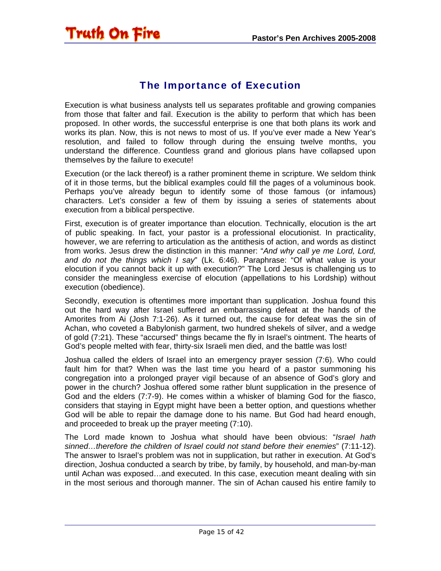#### The Importance of Execution

<span id="page-14-0"></span>Execution is what business analysts tell us separates profitable and growing companies from those that falter and fail. Execution is the ability to perform that which has been proposed. In other words, the successful enterprise is one that both plans its work and works its plan. Now, this is not news to most of us. If you've ever made a New Year's resolution, and failed to follow through during the ensuing twelve months, you understand the difference. Countless grand and glorious plans have collapsed upon themselves by the failure to execute!

Execution (or the lack thereof) is a rather prominent theme in scripture. We seldom think of it in those terms, but the biblical examples could fill the pages of a voluminous book. Perhaps you've already begun to identify some of those famous (or infamous) characters. Let's consider a few of them by issuing a series of statements about execution from a biblical perspective.

First, execution is of greater importance than elocution. Technically, elocution is the art of public speaking. In fact, your pastor is a professional elocutionist. In practicality, however, we are referring to articulation as the antithesis of action, and words as distinct from works. Jesus drew the distinction in this manner: "*And why call ye me Lord, Lord, and do not the things which I say*" (Lk. 6:46). Paraphrase: "Of what value is your elocution if you cannot back it up with execution?" The Lord Jesus is challenging us to consider the meaningless exercise of elocution (appellations to his Lordship) without execution (obedience).

Secondly, execution is oftentimes more important than supplication. Joshua found this out the hard way after Israel suffered an embarrassing defeat at the hands of the Amorites from Ai (Josh 7:1-26). As it turned out, the cause for defeat was the sin of Achan, who coveted a Babylonish garment, two hundred shekels of silver, and a wedge of gold (7:21). These "accursed" things became the fly in Israel's ointment. The hearts of God's people melted with fear, thirty-six Israeli men died, and the battle was lost!

Joshua called the elders of Israel into an emergency prayer session (7:6). Who could fault him for that? When was the last time you heard of a pastor summoning his congregation into a prolonged prayer vigil because of an absence of God's glory and power in the church? Joshua offered some rather blunt supplication in the presence of God and the elders (7:7-9). He comes within a whisker of blaming God for the fiasco, considers that staying in Egypt might have been a better option, and questions whether God will be able to repair the damage done to his name. But God had heard enough, and proceeded to break up the prayer meeting (7:10).

The Lord made known to Joshua what should have been obvious: "*Israel hath sinned…therefore the children of Israel could not stand before their enemies*" (7:11-12). The answer to Israel's problem was not in supplication, but rather in execution. At God's direction, Joshua conducted a search by tribe, by family, by household, and man-by-man until Achan was exposed…and executed. In this case, execution meant dealing with sin in the most serious and thorough manner. The sin of Achan caused his entire family to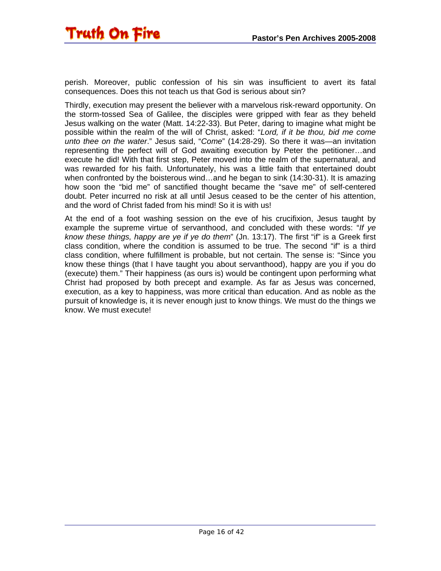perish. Moreover, public confession of his sin was insufficient to avert its fatal consequences. Does this not teach us that God is serious about sin?

Thirdly, execution may present the believer with a marvelous risk-reward opportunity. On the storm-tossed Sea of Galilee, the disciples were gripped with fear as they beheld Jesus walking on the water (Matt. 14:22-33). But Peter, daring to imagine what might be possible within the realm of the will of Christ, asked: "*Lord, if it be thou, bid me come unto thee on the water*." Jesus said, "*Come*" (14:28-29). So there it was—an invitation representing the perfect will of God awaiting execution by Peter the petitioner…and execute he did! With that first step, Peter moved into the realm of the supernatural, and was rewarded for his faith. Unfortunately, his was a little faith that entertained doubt when confronted by the boisterous wind…and he began to sink (14:30-31). It is amazing how soon the "bid me" of sanctified thought became the "save me" of self-centered doubt. Peter incurred no risk at all until Jesus ceased to be the center of his attention, and the word of Christ faded from his mind! So it is with us!

At the end of a foot washing session on the eve of his crucifixion, Jesus taught by example the supreme virtue of servanthood, and concluded with these words: "*If ye know these things, happy are ye if ye do them*" (Jn. 13:17). The first "if" is a Greek first class condition, where the condition is assumed to be true. The second "if" is a third class condition, where fulfillment is probable, but not certain. The sense is: "Since you know these things (that I have taught you about servanthood), happy are you if you do (execute) them." Their happiness (as ours is) would be contingent upon performing what Christ had proposed by both precept and example. As far as Jesus was concerned, execution, as a key to happiness, was more critical than education. And as noble as the pursuit of knowledge is, it is never enough just to know things. We must do the things we know. We must execute!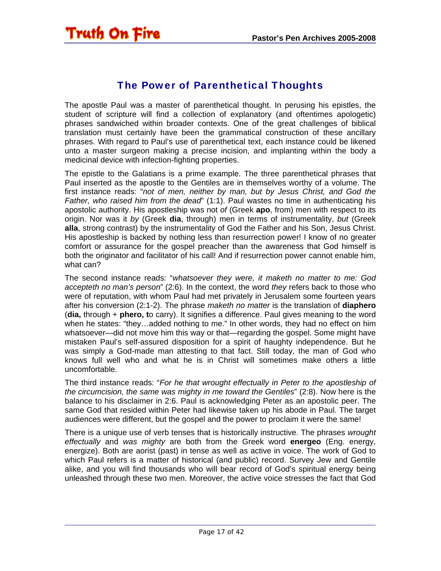#### The Power of Parenthetical Thoughts

<span id="page-16-0"></span>The apostle Paul was a master of parenthetical thought. In perusing his epistles, the student of scripture will find a collection of explanatory (and oftentimes apologetic) phrases sandwiched within broader contexts. One of the great challenges of biblical translation must certainly have been the grammatical construction of these ancillary phrases. With regard to Paul's use of parenthetical text, each instance could be likened unto a master surgeon making a precise incision, and implanting within the body a medicinal device with infection-fighting properties.

The epistle to the Galatians is a prime example. The three parenthetical phrases that Paul inserted as the apostle to the Gentiles are in themselves worthy of a volume. The first instance reads: "*not of men, neither by man, but by Jesus Christ, and God the Father, who raised him from the dead*" (1:1). Paul wastes no time in authenticating his apostolic authority. His apostleship was not *of* (Greek **apo**, from) men with respect to its origin. Nor was it *by* (Greek **dia**, through) men in terms of instrumentality, *but* (Greek **alla**, strong contrast) by the instrumentality of God the Father and his Son, Jesus Christ. His apostleship is backed by nothing less than resurrection power! I know of no greater comfort or assurance for the gospel preacher than the awareness that God himself is both the originator and facilitator of his call! And if resurrection power cannot enable him, what can?

The second instance reads: "*whatsoever they were, it maketh no matter to me: God accepteth no man's person*" (2:6). In the context, the word *they* refers back to those who were of reputation, with whom Paul had met privately in Jerusalem some fourteen years after his conversion (2:1-2). The phrase *maketh no matter* is the translation of **diaphero** (**dia,** through + **phero, t**o carry). It signifies a difference. Paul gives meaning to the word when he states: "they…added nothing to me." In other words, they had no effect on him whatsoever—did not move him this way or that—regarding the gospel. Some might have mistaken Paul's self-assured disposition for a spirit of haughty independence. But he was simply a God-made man attesting to that fact. Still today, the man of God who knows full well who and what he is in Christ will sometimes make others a little uncomfortable.

The third instance reads: "*For he that wrought effectually in Peter to the apostleship of the circumcision, the same was mighty in me toward the Gentiles*" (2:8). Now here is the balance to his disclaimer in 2:6. Paul is acknowledging Peter as an apostolic peer. The same God that resided within Peter had likewise taken up his abode in Paul. The target audiences were different, but the gospel and the power to proclaim it were the same!

There is a unique use of verb tenses that is historically instructive. The phrases *wrought effectually* and *was mighty* are both from the Greek word **energeo** (Eng. energy, energize). Both are aorist (past) in tense as well as active in voice. The work of God to which Paul refers is a matter of historical (and public) record. Survey Jew and Gentile alike, and you will find thousands who will bear record of God's spiritual energy being unleashed through these two men. Moreover, the active voice stresses the fact that God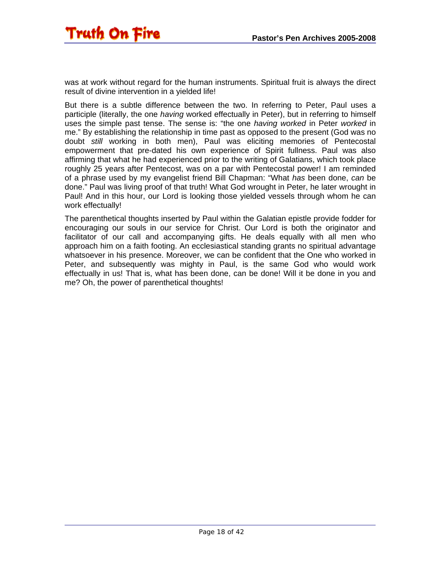was at work without regard for the human instruments. Spiritual fruit is always the direct result of divine intervention in a yielded life!

But there is a subtle difference between the two. In referring to Peter, Paul uses a participle (literally, the one *having* worked effectually in Peter), but in referring to himself uses the simple past tense. The sense is: "the one *having worked* in Peter *worked* in me." By establishing the relationship in time past as opposed to the present (God was no doubt *still* working in both men), Paul was eliciting memories of Pentecostal empowerment that pre-dated his own experience of Spirit fullness. Paul was also affirming that what he had experienced prior to the writing of Galatians, which took place roughly 25 years after Pentecost, was on a par with Pentecostal power! I am reminded of a phrase used by my evangelist friend Bill Chapman: "What *has* been done, *can* be done." Paul was living proof of that truth! What God wrought in Peter, he later wrought in Paul! And in this hour, our Lord is looking those yielded vessels through whom he can work effectually!

The parenthetical thoughts inserted by Paul within the Galatian epistle provide fodder for encouraging our souls in our service for Christ. Our Lord is both the originator and facilitator of our call and accompanying gifts. He deals equally with all men who approach him on a faith footing. An ecclesiastical standing grants no spiritual advantage whatsoever in his presence. Moreover, we can be confident that the One who worked in Peter, and subsequently was mighty in Paul, is the same God who would work effectually in us! That is, what has been done, can be done! Will it be done in you and me? Oh, the power of parenthetical thoughts!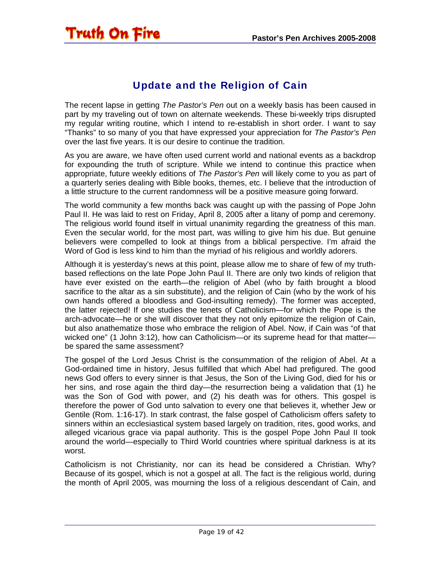#### Update and the Religion of Cain

<span id="page-18-0"></span>The recent lapse in getting *The Pastor's Pen* out on a weekly basis has been caused in part by my traveling out of town on alternate weekends. These bi-weekly trips disrupted my regular writing routine, which I intend to re-establish in short order. I want to say "Thanks" to so many of you that have expressed your appreciation for *The Pastor's Pen* over the last five years. It is our desire to continue the tradition.

As you are aware, we have often used current world and national events as a backdrop for expounding the truth of scripture. While we intend to continue this practice when appropriate, future weekly editions of *The Pastor's Pen* will likely come to you as part of a quarterly series dealing with Bible books, themes, etc. I believe that the introduction of a little structure to the current randomness will be a positive measure going forward.

The world community a few months back was caught up with the passing of Pope John Paul II. He was laid to rest on Friday, April 8, 2005 after a litany of pomp and ceremony. The religious world found itself in virtual unanimity regarding the greatness of this man. Even the secular world, for the most part, was willing to give him his due. But genuine believers were compelled to look at things from a biblical perspective. I'm afraid the Word of God is less kind to him than the myriad of his religious and worldly adorers.

Although it is yesterday's news at this point, please allow me to share of few of my truthbased reflections on the late Pope John Paul II. There are only two kinds of religion that have ever existed on the earth—the religion of Abel (who by faith brought a blood sacrifice to the altar as a sin substitute), and the religion of Cain (who by the work of his own hands offered a bloodless and God-insulting remedy). The former was accepted, the latter rejected! If one studies the tenets of Catholicism—for which the Pope is the arch-advocate—he or she will discover that they not only epitomize the religion of Cain, but also anathematize those who embrace the religion of Abel. Now, if Cain was "of that wicked one" (1 John 3:12), how can Catholicism—or its supreme head for that matter be spared the same assessment?

The gospel of the Lord Jesus Christ is the consummation of the religion of Abel. At a God-ordained time in history, Jesus fulfilled that which Abel had prefigured. The good news God offers to every sinner is that Jesus, the Son of the Living God, died for his or her sins, and rose again the third day—the resurrection being a validation that (1) he was the Son of God with power, and (2) his death was for others. This gospel is therefore the power of God unto salvation to every one that believes it, whether Jew or Gentile (Rom. 1:16-17). In stark contrast, the false gospel of Catholicism offers safety to sinners within an ecclesiastical system based largely on tradition, rites, good works, and alleged vicarious grace via papal authority. This is the gospel Pope John Paul II took around the world—especially to Third World countries where spiritual darkness is at its worst.

Catholicism is not Christianity, nor can its head be considered a Christian. Why? Because of its gospel, which is not a gospel at all. The fact is the religious world, during the month of April 2005, was mourning the loss of a religious descendant of Cain, and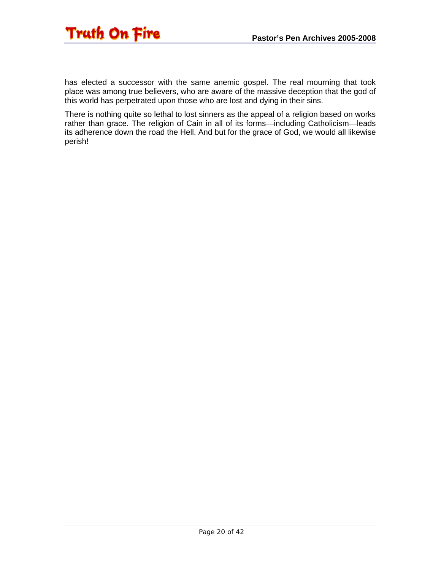

has elected a successor with the same anemic gospel. The real mourning that took place was among true believers, who are aware of the massive deception that the god of this world has perpetrated upon those who are lost and dying in their sins.

There is nothing quite so lethal to lost sinners as the appeal of a religion based on works rather than grace. The religion of Cain in all of its forms—including Catholicism—leads its adherence down the road the Hell. And but for the grace of God, we would all likewise perish!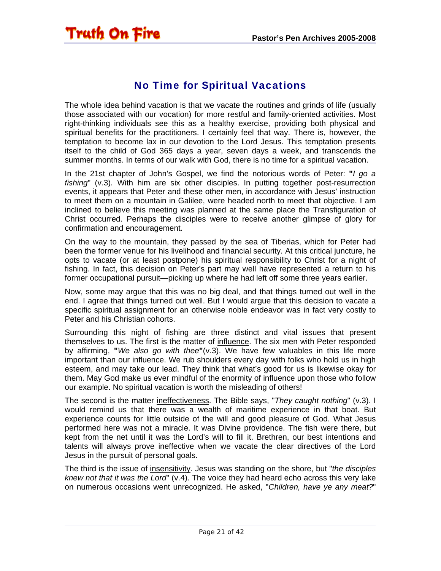#### No Time for Spiritual Vacations

<span id="page-20-0"></span>The whole idea behind vacation is that we vacate the routines and grinds of life (usually those associated with our vocation) for more restful and family-oriented activities. Most right-thinking individuals see this as a healthy exercise, providing both physical and spiritual benefits for the practitioners. I certainly feel that way. There is, however, the temptation to become lax in our devotion to the Lord Jesus. This temptation presents itself to the child of God 365 days a year, seven days a week, and transcends the summer months. In terms of our walk with God, there is no time for a spiritual vacation.

In the 21st chapter of John's Gospel, we find the notorious words of Peter: **"***I go a fishing*" (v.3)*.* With him are six other disciples. In putting together post-resurrection events, it appears that Peter and these other men, in accordance with Jesus' instruction to meet them on a mountain in Galilee, were headed north to meet that objective. I am inclined to believe this meeting was planned at the same place the Transfiguration of Christ occurred. Perhaps the disciples were to receive another glimpse of glory for confirmation and encouragement.

On the way to the mountain, they passed by the sea of Tiberias, which for Peter had been the former venue for his livelihood and financial security. At this critical juncture, he opts to vacate (or at least postpone) his spiritual responsibility to Christ for a night of fishing. In fact, this decision on Peter's part may well have represented a return to his former occupational pursuit—picking up where he had left off some three years earlier.

Now, some may argue that this was no big deal, and that things turned out well in the end. I agree that things turned out well. But I would argue that this decision to vacate a specific spiritual assignment for an otherwise noble endeavor was in fact very costly to Peter and his Christian cohorts.

Surrounding this night of fishing are three distinct and vital issues that present themselves to us. The first is the matter of influence. The six men with Peter responded by affirming, **"***We also go with thee***"**(v.3). We have few valuables in this life more important than our influence. We rub shoulders every day with folks who hold us in high esteem, and may take our lead. They think that what's good for us is likewise okay for them. May God make us ever mindful of the enormity of influence upon those who follow our example. No spiritual vacation is worth the misleading of others!

The second is the matter ineffectiveness. The Bible says, "*They caught nothing*" (v.3). I would remind us that there was a wealth of maritime experience in that boat. But experience counts for little outside of the will and good pleasure of God. What Jesus performed here was not a miracle. It was Divine providence. The fish were there, but kept from the net until it was the Lord's will to fill it. Brethren, our best intentions and talents will always prove ineffective when we vacate the clear directives of the Lord Jesus in the pursuit of personal goals.

The third is the issue of insensitivity. Jesus was standing on the shore, but "*the disciples knew not that it was the Lord*" (v.4). The voice they had heard echo across this very lake on numerous occasions went unrecognized. He asked, "*Children, have ye any meat?*"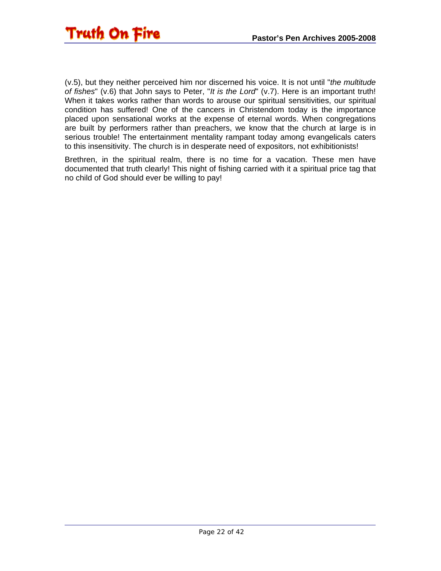

(v.5), but they neither perceived him nor discerned his voice. It is not until "*the multitude of fishes*" (v.6) that John says to Peter, "*It is the Lord*" (v.7). Here is an important truth! When it takes works rather than words to arouse our spiritual sensitivities, our spiritual condition has suffered! One of the cancers in Christendom today is the importance placed upon sensational works at the expense of eternal words. When congregations are built by performers rather than preachers, we know that the church at large is in serious trouble! The entertainment mentality rampant today among evangelicals caters to this insensitivity. The church is in desperate need of expositors, not exhibitionists!

Brethren, in the spiritual realm, there is no time for a vacation. These men have documented that truth clearly! This night of fishing carried with it a spiritual price tag that no child of God should ever be willing to pay!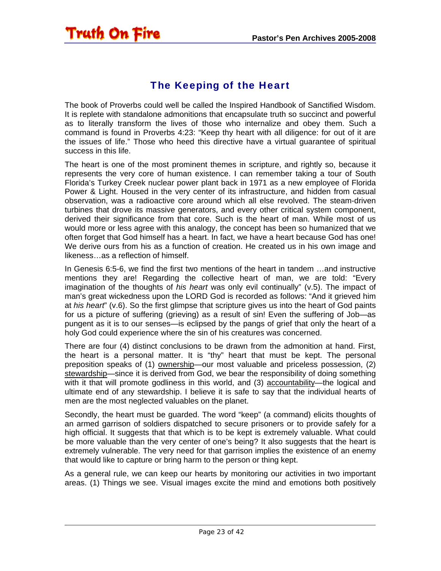## The Keeping of the Heart

<span id="page-22-0"></span>**Truth On Fire** 

The book of Proverbs could well be called the Inspired Handbook of Sanctified Wisdom. It is replete with standalone admonitions that encapsulate truth so succinct and powerful as to literally transform the lives of those who internalize and obey them. Such a command is found in Proverbs 4:23: "Keep thy heart with all diligence: for out of it are the issues of life." Those who heed this directive have a virtual guarantee of spiritual success in this life.

The heart is one of the most prominent themes in scripture, and rightly so, because it represents the very core of human existence. I can remember taking a tour of South Florida's Turkey Creek nuclear power plant back in 1971 as a new employee of Florida Power & Light. Housed in the very center of its infrastructure, and hidden from casual observation, was a radioactive core around which all else revolved. The steam-driven turbines that drove its massive generators, and every other critical system component, derived their significance from that core. Such is the heart of man. While most of us would more or less agree with this analogy, the concept has been so humanized that we often forget that God himself has a heart. In fact, we have a heart because God has one! We derive ours from his as a function of creation. He created us in his own image and likeness…as a reflection of himself.

In Genesis 6:5-6, we find the first two mentions of the heart in tandem …and instructive mentions they are! Regarding the collective heart of man, we are told: "Every imagination of the thoughts of *his heart* was only evil continually" (v.5). The impact of man's great wickedness upon the LORD God is recorded as follows: "And it grieved him at *his heart*" (v.6). So the first glimpse that scripture gives us into the heart of God paints for us a picture of suffering (grieving) as a result of sin! Even the suffering of Job—as pungent as it is to our senses—is eclipsed by the pangs of grief that only the heart of a holy God could experience where the sin of his creatures was concerned.

There are four (4) distinct conclusions to be drawn from the admonition at hand. First, the heart is a personal matter. It is "thy" heart that must be kept. The personal preposition speaks of (1) ownership—our most valuable and priceless possession, (2) stewardship—since it is derived from God, we bear the responsibility of doing something with it that will promote godliness in this world, and (3) accountability—the logical and ultimate end of any stewardship. I believe it is safe to say that the individual hearts of men are the most neglected valuables on the planet.

Secondly, the heart must be guarded. The word "keep" (a command) elicits thoughts of an armed garrison of soldiers dispatched to secure prisoners or to provide safely for a high official. It suggests that that which is to be kept is extremely valuable. What could be more valuable than the very center of one's being? It also suggests that the heart is extremely vulnerable. The very need for that garrison implies the existence of an enemy that would like to capture or bring harm to the person or thing kept.

As a general rule, we can keep our hearts by monitoring our activities in two important areas. (1) Things we see. Visual images excite the mind and emotions both positively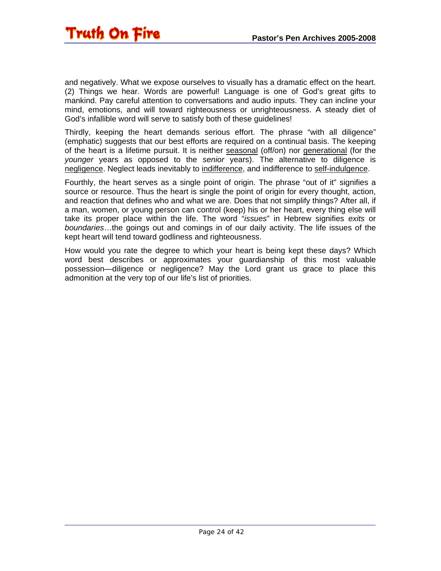and negatively. What we expose ourselves to visually has a dramatic effect on the heart. (2) Things we hear. Words are powerful! Language is one of God's great gifts to mankind. Pay careful attention to conversations and audio inputs. They can incline your mind, emotions, and will toward righteousness or unrighteousness. A steady diet of God's infallible word will serve to satisfy both of these guidelines!

Thirdly, keeping the heart demands serious effort. The phrase "with all diligence" (emphatic) suggests that our best efforts are required on a continual basis. The keeping of the heart is a lifetime pursuit. It is neither seasonal (off/on) nor generational (for the *younger* years as opposed to the *senior* years). The alternative to diligence is negligence. Neglect leads inevitably to indifference, and indifference to self-indulgence.

Fourthly, the heart serves as a single point of origin. The phrase "out of it" signifies a source or resource. Thus the heart is single the point of origin for every thought, action, and reaction that defines who and what we are. Does that not simplify things? After all, if a man, women, or young person can control (keep) his or her heart, every thing else will take its proper place within the life. The word "*issues*" in Hebrew signifies *exits* or *boundaries*…the goings out and comings in of our daily activity. The life issues of the kept heart will tend toward godliness and righteousness.

How would you rate the degree to which your heart is being kept these days? Which word best describes or approximates your guardianship of this most valuable possession—diligence or negligence? May the Lord grant us grace to place this admonition at the very top of our life's list of priorities.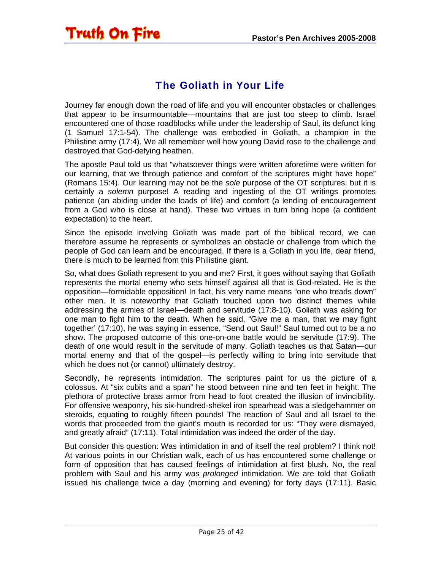#### The Goliath in Your Life

<span id="page-24-0"></span>Truth On Fire

Journey far enough down the road of life and you will encounter obstacles or challenges that appear to be insurmountable—mountains that are just too steep to climb. Israel encountered one of those roadblocks while under the leadership of Saul, its defunct king (1 Samuel 17:1-54). The challenge was embodied in Goliath, a champion in the Philistine army (17:4). We all remember well how young David rose to the challenge and destroyed that God-defying heathen.

The apostle Paul told us that "whatsoever things were written aforetime were written for our learning, that we through patience and comfort of the scriptures might have hope" (Romans 15:4). Our learning may not be the *sole* purpose of the OT scriptures, but it is certainly a *solemn* purpose! A reading and ingesting of the OT writings promotes patience (an abiding under the loads of life) and comfort (a lending of encouragement from a God who is close at hand). These two virtues in turn bring hope (a confident expectation) to the heart.

Since the episode involving Goliath was made part of the biblical record, we can therefore assume he represents or symbolizes an obstacle or challenge from which the people of God can learn and be encouraged. If there is a Goliath in you life, dear friend, there is much to be learned from this Philistine giant.

So, what does Goliath represent to you and me? First, it goes without saying that Goliath represents the mortal enemy who sets himself against all that is God-related. He is the opposition—formidable opposition! In fact, his very name means "one who treads down" other men. It is noteworthy that Goliath touched upon two distinct themes while addressing the armies of Israel—death and servitude (17:8-10). Goliath was asking for one man to fight him to the death. When he said, "Give me a man, that we may fight together' (17:10), he was saying in essence, "Send out Saul!" Saul turned out to be a no show. The proposed outcome of this one-on-one battle would be servitude (17:9). The death of one would result in the servitude of many. Goliath teaches us that Satan—our mortal enemy and that of the gospel—is perfectly willing to bring into servitude that which he does not (or cannot) ultimately destroy.

Secondly, he represents intimidation. The scriptures paint for us the picture of a colossus. At "six cubits and a span" he stood between nine and ten feet in height. The plethora of protective brass armor from head to foot created the illusion of invincibility. For offensive weaponry, his six-hundred-shekel iron spearhead was a sledgehammer on steroids, equating to roughly fifteen pounds! The reaction of Saul and all Israel to the words that proceeded from the giant's mouth is recorded for us: "They were dismayed, and greatly afraid" (17:11). Total intimidation was indeed the order of the day.

But consider this question: Was intimidation in and of itself the real problem? I think not! At various points in our Christian walk, each of us has encountered some challenge or form of opposition that has caused feelings of intimidation at first blush. No, the real problem with Saul and his army was *prolonged* intimidation. We are told that Goliath issued his challenge twice a day (morning and evening) for forty days (17:11). Basic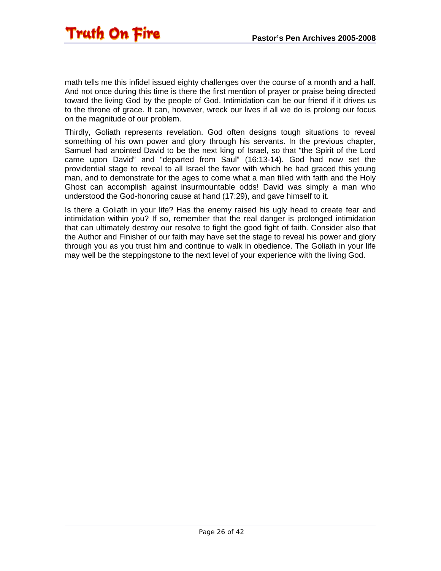math tells me this infidel issued eighty challenges over the course of a month and a half. And not once during this time is there the first mention of prayer or praise being directed toward the living God by the people of God. Intimidation can be our friend if it drives us to the throne of grace. It can, however, wreck our lives if all we do is prolong our focus on the magnitude of our problem.

Thirdly, Goliath represents revelation. God often designs tough situations to reveal something of his own power and glory through his servants. In the previous chapter, Samuel had anointed David to be the next king of Israel, so that "the Spirit of the Lord came upon David" and "departed from Saul" (16:13-14). God had now set the providential stage to reveal to all Israel the favor with which he had graced this young man, and to demonstrate for the ages to come what a man filled with faith and the Holy Ghost can accomplish against insurmountable odds! David was simply a man who understood the God-honoring cause at hand (17:29), and gave himself to it.

Is there a Goliath in your life? Has the enemy raised his ugly head to create fear and intimidation within you? If so, remember that the real danger is prolonged intimidation that can ultimately destroy our resolve to fight the good fight of faith. Consider also that the Author and Finisher of our faith may have set the stage to reveal his power and glory through you as you trust him and continue to walk in obedience. The Goliath in your life may well be the steppingstone to the next level of your experience with the living God.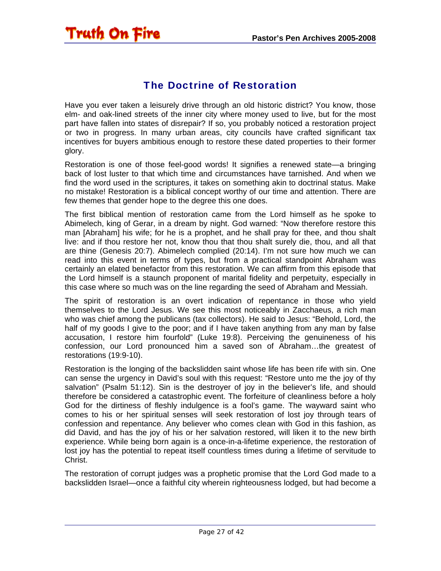#### The Doctrine of Restoration

<span id="page-26-0"></span>Have you ever taken a leisurely drive through an old historic district? You know, those elm- and oak-lined streets of the inner city where money used to live, but for the most part have fallen into states of disrepair? If so, you probably noticed a restoration project or two in progress. In many urban areas, city councils have crafted significant tax incentives for buyers ambitious enough to restore these dated properties to their former glory.

Restoration is one of those feel-good words! It signifies a renewed state—a bringing back of lost luster to that which time and circumstances have tarnished. And when we find the word used in the scriptures, it takes on something akin to doctrinal status. Make no mistake! Restoration is a biblical concept worthy of our time and attention. There are few themes that gender hope to the degree this one does.

The first biblical mention of restoration came from the Lord himself as he spoke to Abimelech, king of Gerar, in a dream by night. God warned: "Now therefore restore this man [Abraham] his wife; for he is a prophet, and he shall pray for thee, and thou shalt live: and if thou restore her not, know thou that thou shalt surely die, thou, and all that are thine (Genesis 20:7). Abimelech complied (20:14). I'm not sure how much we can read into this event in terms of types, but from a practical standpoint Abraham was certainly an elated benefactor from this restoration. We can affirm from this episode that the Lord himself is a staunch proponent of marital fidelity and perpetuity, especially in this case where so much was on the line regarding the seed of Abraham and Messiah.

The spirit of restoration is an overt indication of repentance in those who yield themselves to the Lord Jesus. We see this most noticeably in Zacchaeus, a rich man who was chief among the publicans (tax collectors). He said to Jesus: "Behold, Lord, the half of my goods I give to the poor; and if I have taken anything from any man by false accusation, I restore him fourfold" (Luke 19:8). Perceiving the genuineness of his confession, our Lord pronounced him a saved son of Abraham…the greatest of restorations (19:9-10).

Restoration is the longing of the backslidden saint whose life has been rife with sin. One can sense the urgency in David's soul with this request: "Restore unto me the joy of thy salvation" (Psalm 51:12). Sin is the destroyer of joy in the believer's life, and should therefore be considered a catastrophic event. The forfeiture of cleanliness before a holy God for the dirtiness of fleshly indulgence is a fool's game. The wayward saint who comes to his or her spiritual senses will seek restoration of lost joy through tears of confession and repentance. Any believer who comes clean with God in this fashion, as did David, and has the joy of his or her salvation restored, will liken it to the new birth experience. While being born again is a once-in-a-lifetime experience, the restoration of lost joy has the potential to repeat itself countless times during a lifetime of servitude to Christ.

The restoration of corrupt judges was a prophetic promise that the Lord God made to a backslidden Israel—once a faithful city wherein righteousness lodged, but had become a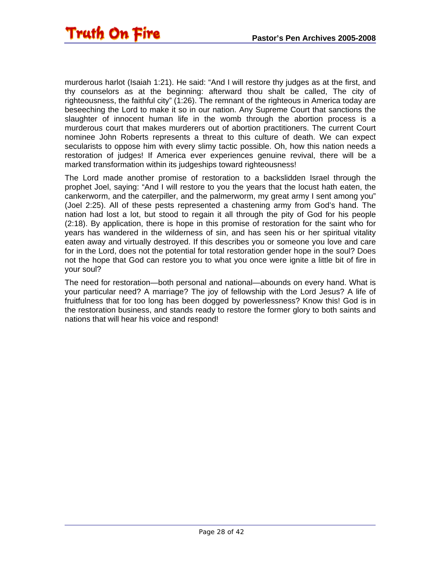murderous harlot (Isaiah 1:21). He said: "And I will restore thy judges as at the first, and thy counselors as at the beginning: afterward thou shalt be called, The city of righteousness, the faithful city" (1:26). The remnant of the righteous in America today are beseeching the Lord to make it so in our nation. Any Supreme Court that sanctions the slaughter of innocent human life in the womb through the abortion process is a murderous court that makes murderers out of abortion practitioners. The current Court nominee John Roberts represents a threat to this culture of death. We can expect secularists to oppose him with every slimy tactic possible. Oh, how this nation needs a restoration of judges! If America ever experiences genuine revival, there will be a marked transformation within its judgeships toward righteousness!

The Lord made another promise of restoration to a backslidden Israel through the prophet Joel, saying: "And I will restore to you the years that the locust hath eaten, the cankerworm, and the caterpiller, and the palmerworm, my great army I sent among you" (Joel 2:25). All of these pests represented a chastening army from God's hand. The nation had lost a lot, but stood to regain it all through the pity of God for his people (2:18). By application, there is hope in this promise of restoration for the saint who for years has wandered in the wilderness of sin, and has seen his or her spiritual vitality eaten away and virtually destroyed. If this describes you or someone you love and care for in the Lord, does not the potential for total restoration gender hope in the soul? Does not the hope that God can restore you to what you once were ignite a little bit of fire in your soul?

The need for restoration—both personal and national—abounds on every hand. What is your particular need? A marriage? The joy of fellowship with the Lord Jesus? A life of fruitfulness that for too long has been dogged by powerlessness? Know this! God is in the restoration business, and stands ready to restore the former glory to both saints and nations that will hear his voice and respond!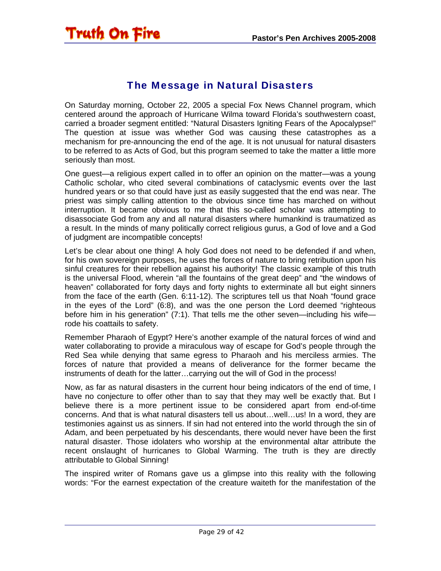#### The Message in Natural Disasters

<span id="page-28-0"></span>On Saturday morning, October 22, 2005 a special Fox News Channel program, which centered around the approach of Hurricane Wilma toward Florida's southwestern coast, carried a broader segment entitled: "Natural Disasters Igniting Fears of the Apocalypse!" The question at issue was whether God was causing these catastrophes as a mechanism for pre-announcing the end of the age. It is not unusual for natural disasters to be referred to as Acts of God, but this program seemed to take the matter a little more seriously than most.

One guest—a religious expert called in to offer an opinion on the matter—was a young Catholic scholar, who cited several combinations of cataclysmic events over the last hundred years or so that could have just as easily suggested that the end was near. The priest was simply calling attention to the obvious since time has marched on without interruption. It became obvious to me that this so-called scholar was attempting to disassociate God from any and all natural disasters where humankind is traumatized as a result. In the minds of many politically correct religious gurus, a God of love and a God of judgment are incompatible concepts!

Let's be clear about one thing! A holy God does not need to be defended if and when, for his own sovereign purposes, he uses the forces of nature to bring retribution upon his sinful creatures for their rebellion against his authority! The classic example of this truth is the universal Flood, wherein "all the fountains of the great deep" and "the windows of heaven" collaborated for forty days and forty nights to exterminate all but eight sinners from the face of the earth (Gen. 6:11-12). The scriptures tell us that Noah "found grace in the eyes of the Lord" (6:8), and was the one person the Lord deemed "righteous before him in his generation" (7:1). That tells me the other seven—including his wife rode his coattails to safety.

Remember Pharaoh of Egypt? Here's another example of the natural forces of wind and water collaborating to provide a miraculous way of escape for God's people through the Red Sea while denying that same egress to Pharaoh and his merciless armies. The forces of nature that provided a means of deliverance for the former became the instruments of death for the latter…carrying out the will of God in the process!

Now, as far as natural disasters in the current hour being indicators of the end of time, I have no conjecture to offer other than to say that they may well be exactly that. But I believe there is a more pertinent issue to be considered apart from end-of-time concerns. And that is what natural disasters tell us about…well…us! In a word, they are testimonies against us as sinners. If sin had not entered into the world through the sin of Adam, and been perpetuated by his descendants, there would never have been the first natural disaster. Those idolaters who worship at the environmental altar attribute the recent onslaught of hurricanes to Global Warming. The truth is they are directly attributable to Global Sinning!

The inspired writer of Romans gave us a glimpse into this reality with the following words: "For the earnest expectation of the creature waiteth for the manifestation of the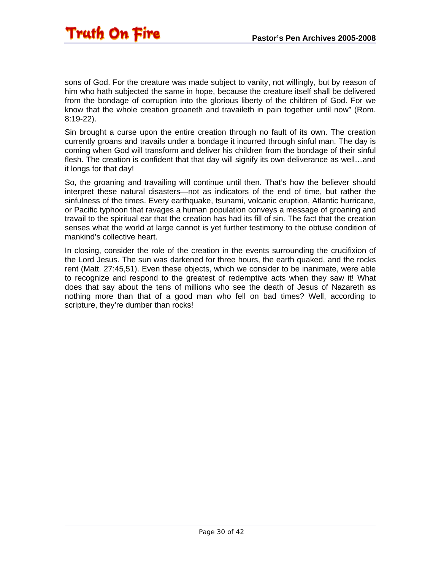sons of God. For the creature was made subject to vanity, not willingly, but by reason of him who hath subjected the same in hope, because the creature itself shall be delivered from the bondage of corruption into the glorious liberty of the children of God. For we know that the whole creation groaneth and travaileth in pain together until now" (Rom. 8:19-22).

Sin brought a curse upon the entire creation through no fault of its own. The creation currently groans and travails under a bondage it incurred through sinful man. The day is coming when God will transform and deliver his children from the bondage of their sinful flesh. The creation is confident that that day will signify its own deliverance as well…and it longs for that day!

So, the groaning and travailing will continue until then. That's how the believer should interpret these natural disasters—not as indicators of the end of time, but rather the sinfulness of the times. Every earthquake, tsunami, volcanic eruption, Atlantic hurricane, or Pacific typhoon that ravages a human population conveys a message of groaning and travail to the spiritual ear that the creation has had its fill of sin. The fact that the creation senses what the world at large cannot is yet further testimony to the obtuse condition of mankind's collective heart.

In closing, consider the role of the creation in the events surrounding the crucifixion of the Lord Jesus. The sun was darkened for three hours, the earth quaked, and the rocks rent (Matt. 27:45,51). Even these objects, which we consider to be inanimate, were able to recognize and respond to the greatest of redemptive acts when they saw it! What does that say about the tens of millions who see the death of Jesus of Nazareth as nothing more than that of a good man who fell on bad times? Well, according to scripture, they're dumber than rocks!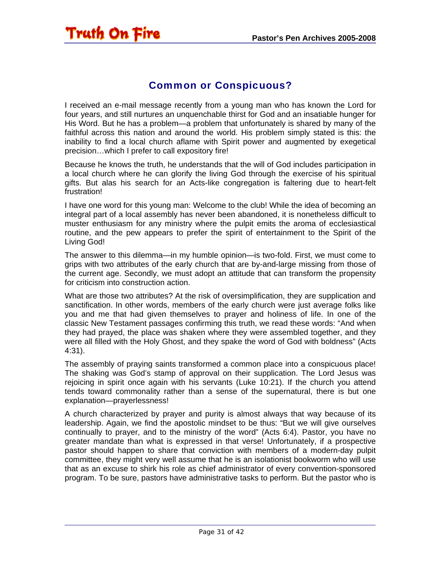### <span id="page-30-0"></span>Truth On Fire

#### Common or Conspicuous?

I received an e-mail message recently from a young man who has known the Lord for four years, and still nurtures an unquenchable thirst for God and an insatiable hunger for His Word. But he has a problem—a problem that unfortunately is shared by many of the faithful across this nation and around the world. His problem simply stated is this: the inability to find a local church aflame with Spirit power and augmented by exegetical precision…which I prefer to call expository fire!

Because he knows the truth, he understands that the will of God includes participation in a local church where he can glorify the living God through the exercise of his spiritual gifts. But alas his search for an Acts-like congregation is faltering due to heart-felt frustration!

I have one word for this young man: Welcome to the club! While the idea of becoming an integral part of a local assembly has never been abandoned, it is nonetheless difficult to muster enthusiasm for any ministry where the pulpit emits the aroma of ecclesiastical routine, and the pew appears to prefer the spirit of entertainment to the Spirit of the Living God!

The answer to this dilemma—in my humble opinion—is two-fold. First, we must come to grips with two attributes of the early church that are by-and-large missing from those of the current age. Secondly, we must adopt an attitude that can transform the propensity for criticism into construction action.

What are those two attributes? At the risk of oversimplification, they are supplication and sanctification. In other words, members of the early church were just average folks like you and me that had given themselves to prayer and holiness of life. In one of the classic New Testament passages confirming this truth, we read these words: "And when they had prayed, the place was shaken where they were assembled together, and they were all filled with the Holy Ghost, and they spake the word of God with boldness" (Acts 4:31).

The assembly of praying saints transformed a common place into a conspicuous place! The shaking was God's stamp of approval on their supplication. The Lord Jesus was rejoicing in spirit once again with his servants (Luke 10:21). If the church you attend tends toward commonality rather than a sense of the supernatural, there is but one explanation—prayerlessness!

A church characterized by prayer and purity is almost always that way because of its leadership. Again, we find the apostolic mindset to be thus: "But we will give ourselves continually to prayer, and to the ministry of the word" (Acts 6:4). Pastor, you have no greater mandate than what is expressed in that verse! Unfortunately, if a prospective pastor should happen to share that conviction with members of a modern-day pulpit committee, they might very well assume that he is an isolationist bookworm who will use that as an excuse to shirk his role as chief administrator of every convention-sponsored program. To be sure, pastors have administrative tasks to perform. But the pastor who is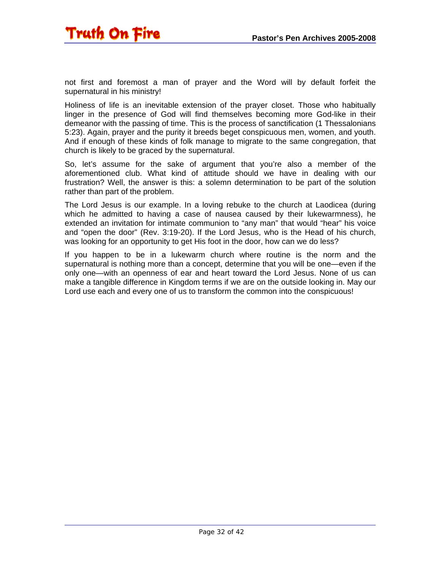

not first and foremost a man of prayer and the Word will by default forfeit the supernatural in his ministry!

Holiness of life is an inevitable extension of the prayer closet. Those who habitually linger in the presence of God will find themselves becoming more God-like in their demeanor with the passing of time. This is the process of sanctification (1 Thessalonians 5:23). Again, prayer and the purity it breeds beget conspicuous men, women, and youth. And if enough of these kinds of folk manage to migrate to the same congregation, that church is likely to be graced by the supernatural.

So, let's assume for the sake of argument that you're also a member of the aforementioned club. What kind of attitude should we have in dealing with our frustration? Well, the answer is this: a solemn determination to be part of the solution rather than part of the problem.

The Lord Jesus is our example. In a loving rebuke to the church at Laodicea (during which he admitted to having a case of nausea caused by their lukewarmness), he extended an invitation for intimate communion to "any man" that would "hear" his voice and "open the door" (Rev. 3:19-20). If the Lord Jesus, who is the Head of his church, was looking for an opportunity to get His foot in the door, how can we do less?

If you happen to be in a lukewarm church where routine is the norm and the supernatural is nothing more than a concept, determine that you will be one—even if the only one—with an openness of ear and heart toward the Lord Jesus. None of us can make a tangible difference in Kingdom terms if we are on the outside looking in. May our Lord use each and every one of us to transform the common into the conspicuous!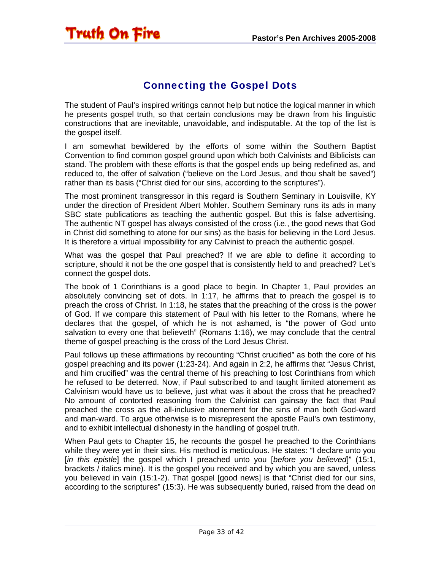#### Connecting the Gospel Dots

<span id="page-32-0"></span>The student of Paul's inspired writings cannot help but notice the logical manner in which he presents gospel truth, so that certain conclusions may be drawn from his linguistic constructions that are inevitable, unavoidable, and indisputable. At the top of the list is the gospel itself.

I am somewhat bewildered by the efforts of some within the Southern Baptist Convention to find common gospel ground upon which both Calvinists and Biblicists can stand. The problem with these efforts is that the gospel ends up being redefined as, and reduced to, the offer of salvation ("believe on the Lord Jesus, and thou shalt be saved") rather than its basis ("Christ died for our sins, according to the scriptures").

The most prominent transgressor in this regard is Southern Seminary in Louisville, KY under the direction of President Albert Mohler. Southern Seminary runs its ads in many SBC state publications as teaching the authentic gospel. But this is false advertising. The authentic NT gospel has always consisted of the cross (i.e., the good news that God in Christ did something to atone for our sins) as the basis for believing in the Lord Jesus. It is therefore a virtual impossibility for any Calvinist to preach the authentic gospel.

What was the gospel that Paul preached? If we are able to define it according to scripture, should it not be the one gospel that is consistently held to and preached? Let's connect the gospel dots.

The book of 1 Corinthians is a good place to begin. In Chapter 1, Paul provides an absolutely convincing set of dots. In 1:17, he affirms that to preach the gospel is to preach the cross of Christ. In 1:18, he states that the preaching of the cross is the power of God. If we compare this statement of Paul with his letter to the Romans, where he declares that the gospel, of which he is not ashamed, is "the power of God unto salvation to every one that believeth" (Romans 1:16), we may conclude that the central theme of gospel preaching is the cross of the Lord Jesus Christ.

Paul follows up these affirmations by recounting "Christ crucified" as both the core of his gospel preaching and its power (1:23-24). And again in 2:2, he affirms that "Jesus Christ, and him crucified" was the central theme of his preaching to lost Corinthians from which he refused to be deterred. Now, if Paul subscribed to and taught limited atonement as Calvinism would have us to believe, just what was it about the cross that he preached? No amount of contorted reasoning from the Calvinist can gainsay the fact that Paul preached the cross as the all-inclusive atonement for the sins of man both God-ward and man-ward. To argue otherwise is to misrepresent the apostle Paul's own testimony, and to exhibit intellectual dishonesty in the handling of gospel truth.

When Paul gets to Chapter 15, he recounts the gospel he preached to the Corinthians while they were yet in their sins. His method is meticulous. He states: "I declare unto you [*in this epistle*] the gospel which I preached unto you [*before you believed*]" (15:1, brackets / italics mine). It is the gospel you received and by which you are saved, unless you believed in vain (15:1-2). That gospel [good news] is that "Christ died for our sins, according to the scriptures" (15:3). He was subsequently buried, raised from the dead on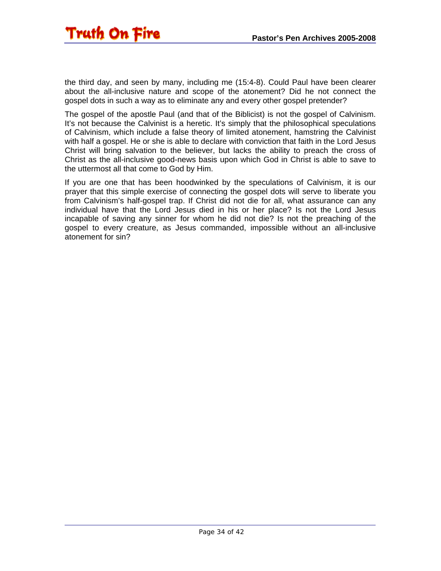the third day, and seen by many, including me (15:4-8). Could Paul have been clearer about the all-inclusive nature and scope of the atonement? Did he not connect the gospel dots in such a way as to eliminate any and every other gospel pretender?

The gospel of the apostle Paul (and that of the Biblicist) is not the gospel of Calvinism. It's not because the Calvinist is a heretic. It's simply that the philosophical speculations of Calvinism, which include a false theory of limited atonement, hamstring the Calvinist with half a gospel. He or she is able to declare with conviction that faith in the Lord Jesus Christ will bring salvation to the believer, but lacks the ability to preach the cross of Christ as the all-inclusive good-news basis upon which God in Christ is able to save to the uttermost all that come to God by Him.

If you are one that has been hoodwinked by the speculations of Calvinism, it is our prayer that this simple exercise of connecting the gospel dots will serve to liberate you from Calvinism's half-gospel trap. If Christ did not die for all, what assurance can any individual have that the Lord Jesus died in his or her place? Is not the Lord Jesus incapable of saving any sinner for whom he did not die? Is not the preaching of the gospel to every creature, as Jesus commanded, impossible without an all-inclusive atonement for sin?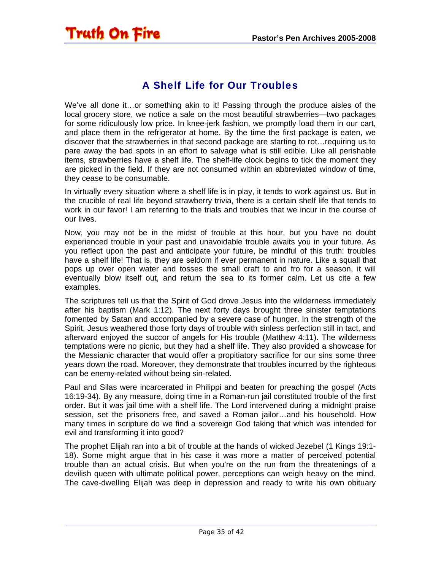### <span id="page-34-0"></span>Truth On Fire

#### A Shelf Life for Our Troubles

We've all done it…or something akin to it! Passing through the produce aisles of the local grocery store, we notice a sale on the most beautiful strawberries—two packages for some ridiculously low price. In knee-jerk fashion, we promptly load them in our cart, and place them in the refrigerator at home. By the time the first package is eaten, we discover that the strawberries in that second package are starting to rot…requiring us to pare away the bad spots in an effort to salvage what is still edible. Like all perishable items, strawberries have a shelf life. The shelf-life clock begins to tick the moment they are picked in the field. If they are not consumed within an abbreviated window of time, they cease to be consumable.

In virtually every situation where a shelf life is in play, it tends to work against us. But in the crucible of real life beyond strawberry trivia, there is a certain shelf life that tends to work in our favor! I am referring to the trials and troubles that we incur in the course of our lives.

Now, you may not be in the midst of trouble at this hour, but you have no doubt experienced trouble in your past and unavoidable trouble awaits you in your future. As you reflect upon the past and anticipate your future, be mindful of this truth: troubles have a shelf life! That is, they are seldom if ever permanent in nature. Like a squall that pops up over open water and tosses the small craft to and fro for a season, it will eventually blow itself out, and return the sea to its former calm. Let us cite a few examples.

The scriptures tell us that the Spirit of God drove Jesus into the wilderness immediately after his baptism (Mark 1:12). The next forty days brought three sinister temptations fomented by Satan and accompanied by a severe case of hunger. In the strength of the Spirit, Jesus weathered those forty days of trouble with sinless perfection still in tact, and afterward enjoyed the succor of angels for His trouble (Matthew 4:11). The wilderness temptations were no picnic, but they had a shelf life. They also provided a showcase for the Messianic character that would offer a propitiatory sacrifice for our sins some three years down the road. Moreover, they demonstrate that troubles incurred by the righteous can be enemy-related without being sin-related.

Paul and Silas were incarcerated in Philippi and beaten for preaching the gospel (Acts 16:19-34). By any measure, doing time in a Roman-run jail constituted trouble of the first order. But it was jail time with a shelf life. The Lord intervened during a midnight praise session, set the prisoners free, and saved a Roman jailor…and his household. How many times in scripture do we find a sovereign God taking that which was intended for evil and transforming it into good?

The prophet Elijah ran into a bit of trouble at the hands of wicked Jezebel (1 Kings 19:1- 18). Some might argue that in his case it was more a matter of perceived potential trouble than an actual crisis. But when you're on the run from the threatenings of a devilish queen with ultimate political power, perceptions can weigh heavy on the mind. The cave-dwelling Elijah was deep in depression and ready to write his own obituary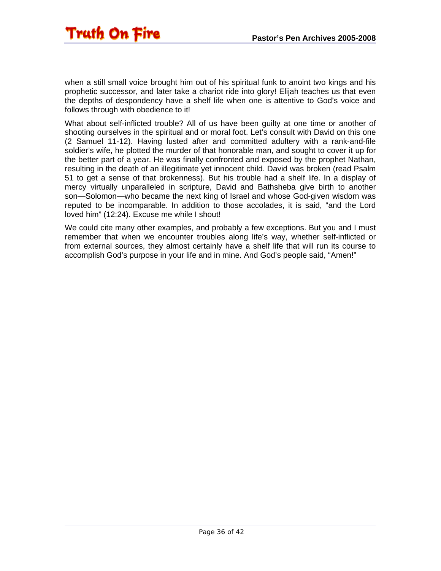when a still small voice brought him out of his spiritual funk to anoint two kings and his prophetic successor, and later take a chariot ride into glory! Elijah teaches us that even the depths of despondency have a shelf life when one is attentive to God's voice and follows through with obedience to it!

What about self-inflicted trouble? All of us have been guilty at one time or another of shooting ourselves in the spiritual and or moral foot. Let's consult with David on this one (2 Samuel 11-12). Having lusted after and committed adultery with a rank-and-file soldier's wife, he plotted the murder of that honorable man, and sought to cover it up for the better part of a year. He was finally confronted and exposed by the prophet Nathan, resulting in the death of an illegitimate yet innocent child. David was broken (read Psalm 51 to get a sense of that brokenness). But his trouble had a shelf life. In a display of mercy virtually unparalleled in scripture, David and Bathsheba give birth to another son—Solomon—who became the next king of Israel and whose God-given wisdom was reputed to be incomparable. In addition to those accolades, it is said, "and the Lord loved him" (12:24). Excuse me while I shout!

We could cite many other examples, and probably a few exceptions. But you and I must remember that when we encounter troubles along life's way, whether self-inflicted or from external sources, they almost certainly have a shelf life that will run its course to accomplish God's purpose in your life and in mine. And God's people said, "Amen!"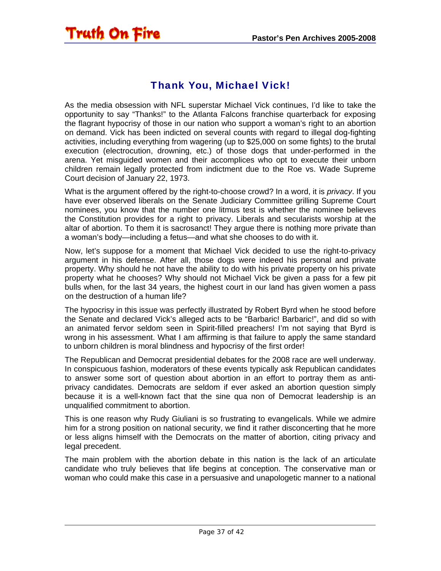### <span id="page-36-0"></span>Truth On Fire

#### Thank You, Michael Vick!

As the media obsession with NFL superstar Michael Vick continues, I'd like to take the opportunity to say "Thanks!" to the Atlanta Falcons franchise quarterback for exposing the flagrant hypocrisy of those in our nation who support a woman's right to an abortion on demand. Vick has been indicted on several counts with regard to illegal dog-fighting activities, including everything from wagering (up to \$25,000 on some fights) to the brutal execution (electrocution, drowning, etc.) of those dogs that under-performed in the arena. Yet misguided women and their accomplices who opt to execute their unborn children remain legally protected from indictment due to the Roe vs. Wade Supreme Court decision of January 22, 1973.

What is the argument offered by the right-to-choose crowd? In a word, it is *privacy*. If you have ever observed liberals on the Senate Judiciary Committee grilling Supreme Court nominees, you know that the number one litmus test is whether the nominee believes the Constitution provides for a right to privacy. Liberals and secularists worship at the altar of abortion. To them it is sacrosanct! They argue there is nothing more private than a woman's body—including a fetus—and what she chooses to do with it.

Now, let's suppose for a moment that Michael Vick decided to use the right-to-privacy argument in his defense. After all, those dogs were indeed his personal and private property. Why should he not have the ability to do with his private property on his private property what he chooses? Why should not Michael Vick be given a pass for a few pit bulls when, for the last 34 years, the highest court in our land has given women a pass on the destruction of a human life?

The hypocrisy in this issue was perfectly illustrated by Robert Byrd when he stood before the Senate and declared Vick's alleged acts to be "Barbaric! Barbaric!", and did so with an animated fervor seldom seen in Spirit-filled preachers! I'm not saying that Byrd is wrong in his assessment. What I am affirming is that failure to apply the same standard to unborn children is moral blindness and hypocrisy of the first order!

The Republican and Democrat presidential debates for the 2008 race are well underway. In conspicuous fashion, moderators of these events typically ask Republican candidates to answer some sort of question about abortion in an effort to portray them as antiprivacy candidates. Democrats are seldom if ever asked an abortion question simply because it is a well-known fact that the sine qua non of Democrat leadership is an unqualified commitment to abortion.

This is one reason why Rudy Giuliani is so frustrating to evangelicals. While we admire him for a strong position on national security, we find it rather disconcerting that he more or less aligns himself with the Democrats on the matter of abortion, citing privacy and legal precedent.

The main problem with the abortion debate in this nation is the lack of an articulate candidate who truly believes that life begins at conception. The conservative man or woman who could make this case in a persuasive and unapologetic manner to a national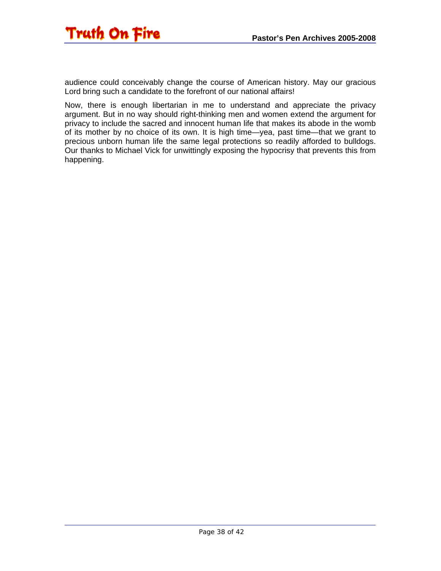

audience could conceivably change the course of American history. May our gracious Lord bring such a candidate to the forefront of our national affairs!

Now, there is enough libertarian in me to understand and appreciate the privacy argument. But in no way should right-thinking men and women extend the argument for privacy to include the sacred and innocent human life that makes its abode in the womb of its mother by no choice of its own. It is high time—yea, past time—that we grant to precious unborn human life the same legal protections so readily afforded to bulldogs. Our thanks to Michael Vick for unwittingly exposing the hypocrisy that prevents this from happening.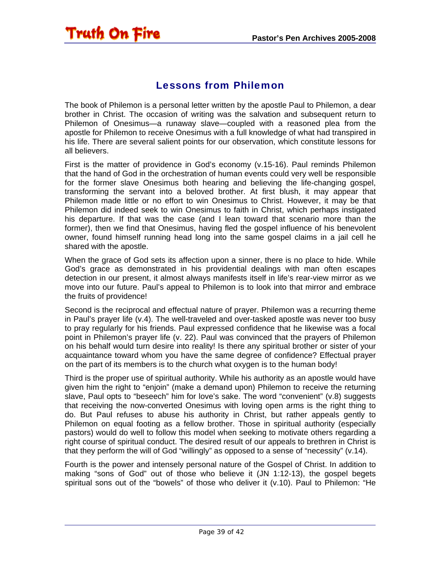<span id="page-38-0"></span>Truth On Fire

The book of Philemon is a personal letter written by the apostle Paul to Philemon, a dear brother in Christ. The occasion of writing was the salvation and subsequent return to Philemon of Onesimus—a runaway slave—coupled with a reasoned plea from the apostle for Philemon to receive Onesimus with a full knowledge of what had transpired in his life. There are several salient points for our observation, which constitute lessons for all believers.

Lessons from Philemon

First is the matter of providence in God's economy (v.15-16). Paul reminds Philemon that the hand of God in the orchestration of human events could very well be responsible for the former slave Onesimus both hearing and believing the life-changing gospel, transforming the servant into a beloved brother. At first blush, it may appear that Philemon made little or no effort to win Onesimus to Christ. However, it may be that Philemon did indeed seek to win Onesimus to faith in Christ, which perhaps instigated his departure. If that was the case (and I lean toward that scenario more than the former), then we find that Onesimus, having fled the gospel influence of his benevolent owner, found himself running head long into the same gospel claims in a jail cell he shared with the apostle.

When the grace of God sets its affection upon a sinner, there is no place to hide. While God's grace as demonstrated in his providential dealings with man often escapes detection in our present, it almost always manifests itself in life's rear-view mirror as we move into our future. Paul's appeal to Philemon is to look into that mirror and embrace the fruits of providence!

Second is the reciprocal and effectual nature of prayer. Philemon was a recurring theme in Paul's prayer life (v.4). The well-traveled and over-tasked apostle was never too busy to pray regularly for his friends. Paul expressed confidence that he likewise was a focal point in Philemon's prayer life (v. 22). Paul was convinced that the prayers of Philemon on his behalf would turn desire into reality! Is there any spiritual brother or sister of your acquaintance toward whom you have the same degree of confidence? Effectual prayer on the part of its members is to the church what oxygen is to the human body!

Third is the proper use of spiritual authority. While his authority as an apostle would have given him the right to "enjoin" (make a demand upon) Philemon to receive the returning slave, Paul opts to "beseech" him for love's sake. The word "convenient" (v.8) suggests that receiving the now-converted Onesimus with loving open arms is the right thing to do. But Paul refuses to abuse his authority in Christ, but rather appeals gently to Philemon on equal footing as a fellow brother. Those in spiritual authority (especially pastors) would do well to follow this model when seeking to motivate others regarding a right course of spiritual conduct. The desired result of our appeals to brethren in Christ is that they perform the will of God "willingly" as opposed to a sense of "necessity" (v.14).

Fourth is the power and intensely personal nature of the Gospel of Christ. In addition to making "sons of God" out of those who believe it (JN 1:12-13), the gospel begets spiritual sons out of the "bowels" of those who deliver it (v.10). Paul to Philemon: "He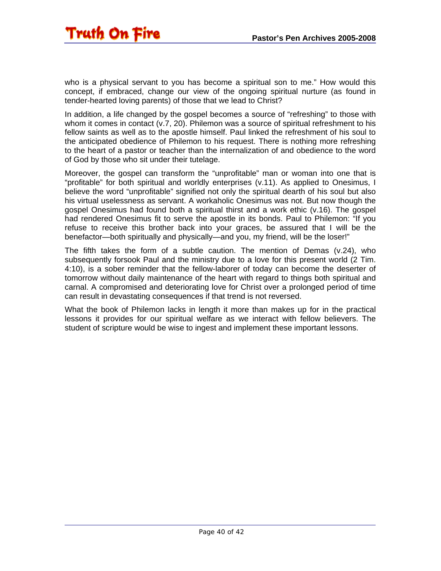who is a physical servant to you has become a spiritual son to me." How would this concept, if embraced, change our view of the ongoing spiritual nurture (as found in tender-hearted loving parents) of those that we lead to Christ?

In addition, a life changed by the gospel becomes a source of "refreshing" to those with whom it comes in contact (v.7, 20). Philemon was a source of spiritual refreshment to his fellow saints as well as to the apostle himself. Paul linked the refreshment of his soul to the anticipated obedience of Philemon to his request. There is nothing more refreshing to the heart of a pastor or teacher than the internalization of and obedience to the word of God by those who sit under their tutelage.

Moreover, the gospel can transform the "unprofitable" man or woman into one that is "profitable" for both spiritual and worldly enterprises (v.11). As applied to Onesimus, I believe the word "unprofitable" signified not only the spiritual dearth of his soul but also his virtual uselessness as servant. A workaholic Onesimus was not. But now though the gospel Onesimus had found both a spiritual thirst and a work ethic (v.16). The gospel had rendered Onesimus fit to serve the apostle in its bonds. Paul to Philemon: "If you refuse to receive this brother back into your graces, be assured that I will be the benefactor—both spiritually and physically—and you, my friend, will be the loser!"

The fifth takes the form of a subtle caution. The mention of Demas (v.24), who subsequently forsook Paul and the ministry due to a love for this present world (2 Tim. 4:10), is a sober reminder that the fellow-laborer of today can become the deserter of tomorrow without daily maintenance of the heart with regard to things both spiritual and carnal. A compromised and deteriorating love for Christ over a prolonged period of time can result in devastating consequences if that trend is not reversed.

What the book of Philemon lacks in length it more than makes up for in the practical lessons it provides for our spiritual welfare as we interact with fellow believers. The student of scripture would be wise to ingest and implement these important lessons.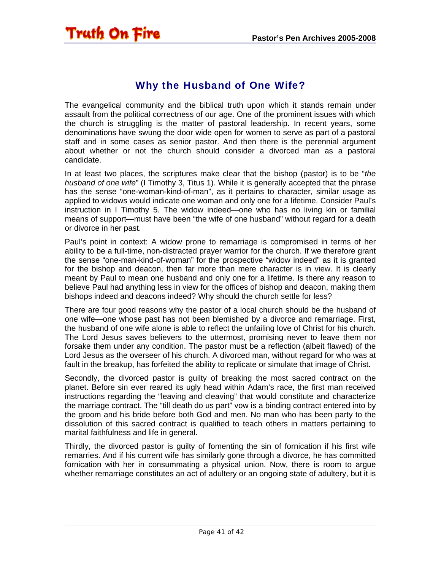#### Why the Husband of One Wife?

<span id="page-40-0"></span>The evangelical community and the biblical truth upon which it stands remain under assault from the political correctness of our age. One of the prominent issues with which the church is struggling is the matter of pastoral leadership. In recent years, some denominations have swung the door wide open for women to serve as part of a pastoral staff and in some cases as senior pastor. And then there is the perennial argument about whether or not the church should consider a divorced man as a pastoral candidate.

In at least two places, the scriptures make clear that the bishop (pastor) is to be "*the husband of one wife*" (I Timothy 3, Titus 1). While it is generally accepted that the phrase has the sense "one-woman-kind-of-man", as it pertains to character, similar usage as applied to widows would indicate one woman and only one for a lifetime. Consider Paul's instruction in I Timothy 5. The widow indeed—one who has no living kin or familial means of support—must have been "the wife of one husband" without regard for a death or divorce in her past.

Paul's point in context: A widow prone to remarriage is compromised in terms of her ability to be a full-time, non-distracted prayer warrior for the church. If we therefore grant the sense "one-man-kind-of-woman" for the prospective "widow indeed" as it is granted for the bishop and deacon, then far more than mere character is in view. It is clearly meant by Paul to mean one husband and only one for a lifetime. Is there any reason to believe Paul had anything less in view for the offices of bishop and deacon, making them bishops indeed and deacons indeed? Why should the church settle for less?

There are four good reasons why the pastor of a local church should be the husband of one wife—one whose past has not been blemished by a divorce and remarriage. First, the husband of one wife alone is able to reflect the unfailing love of Christ for his church. The Lord Jesus saves believers to the uttermost, promising never to leave them nor forsake them under any condition. The pastor must be a reflection (albeit flawed) of the Lord Jesus as the overseer of his church. A divorced man, without regard for who was at fault in the breakup, has forfeited the ability to replicate or simulate that image of Christ.

Secondly, the divorced pastor is guilty of breaking the most sacred contract on the planet. Before sin ever reared its ugly head within Adam's race, the first man received instructions regarding the "leaving and cleaving" that would constitute and characterize the marriage contract. The "till death do us part" vow is a binding contract entered into by the groom and his bride before both God and men. No man who has been party to the dissolution of this sacred contract is qualified to teach others in matters pertaining to marital faithfulness and life in general.

Thirdly, the divorced pastor is guilty of fomenting the sin of fornication if his first wife remarries. And if his current wife has similarly gone through a divorce, he has committed fornication with her in consummating a physical union. Now, there is room to argue whether remarriage constitutes an act of adultery or an ongoing state of adultery, but it is